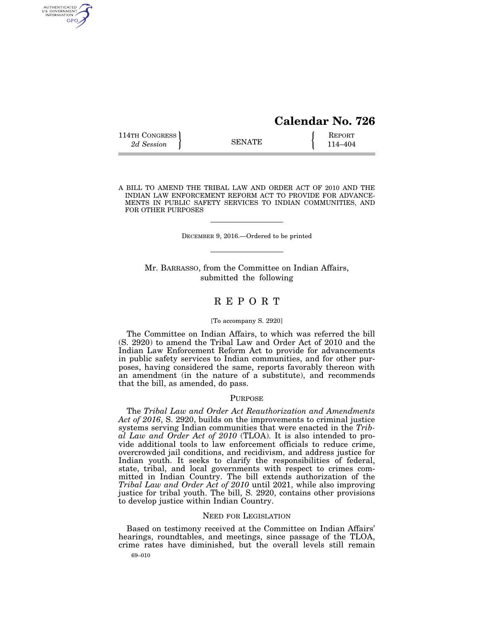# **Calendar No. 726**

| 114TH CONGRESS |               | <b>REPORT</b> |
|----------------|---------------|---------------|
| 2d Session     | <b>SENATE</b> | 114–404       |

AUTHENTICATED<br>U.S. GOVERNMENT<br>INFORMATION GPO

A BILL TO AMEND THE TRIBAL LAW AND ORDER ACT OF 2010 AND THE INDIAN LAW ENFORCEMENT REFORM ACT TO PROVIDE FOR ADVANCE-MENTS IN PUBLIC SAFETY SERVICES TO INDIAN COMMUNITIES, AND FOR OTHER PURPOSES

DECEMBER 9, 2016.—Ordered to be printed

Mr. BARRASSO, from the Committee on Indian Affairs, submitted the following

# R E P O R T

#### [To accompany S. 2920]

The Committee on Indian Affairs, to which was referred the bill (S. 2920) to amend the Tribal Law and Order Act of 2010 and the Indian Law Enforcement Reform Act to provide for advancements in public safety services to Indian communities, and for other purposes, having considered the same, reports favorably thereon with an amendment (in the nature of a substitute), and recommends that the bill, as amended, do pass.

# PURPOSE

The *Tribal Law and Order Act Reauthorization and Amendments Act of 2016*, S. 2920, builds on the improvements to criminal justice systems serving Indian communities that were enacted in the *Tribal Law and Order Act of 2010* (TLOA). It is also intended to provide additional tools to law enforcement officials to reduce crime, overcrowded jail conditions, and recidivism, and address justice for Indian youth. It seeks to clarify the responsibilities of federal, state, tribal, and local governments with respect to crimes committed in Indian Country. The bill extends authorization of the *Tribal Law and Order Act of 2010* until 2021, while also improving justice for tribal youth. The bill, S. 2920, contains other provisions to develop justice within Indian Country.

### NEED FOR LEGISLATION

69–010 Based on testimony received at the Committee on Indian Affairs' hearings, roundtables, and meetings, since passage of the TLOA, crime rates have diminished, but the overall levels still remain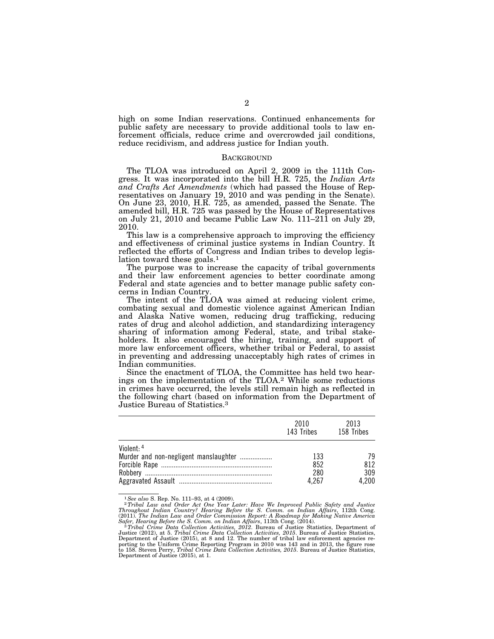high on some Indian reservations. Continued enhancements for public safety are necessary to provide additional tools to law enforcement officials, reduce crime and overcrowded jail conditions, reduce recidivism, and address justice for Indian youth.

#### **BACKGROUND**

The TLOA was introduced on April 2, 2009 in the 111th Congress. It was incorporated into the bill H.R. 725, the *Indian Arts and Crafts Act Amendments* (which had passed the House of Representatives on January 19, 2010 and was pending in the Senate). On June 23, 2010, H.R. 725, as amended, passed the Senate. The amended bill, H.R. 725 was passed by the House of Representatives on July 21, 2010 and became Public Law No. 111–211 on July 29, 2010.

This law is a comprehensive approach to improving the efficiency and effectiveness of criminal justice systems in Indian Country. It reflected the efforts of Congress and Indian tribes to develop legislation toward these goals.<sup>1</sup>

The purpose was to increase the capacity of tribal governments and their law enforcement agencies to better coordinate among Federal and state agencies and to better manage public safety concerns in Indian Country.

The intent of the TLOA was aimed at reducing violent crime, combating sexual and domestic violence against American Indian and Alaska Native women, reducing drug trafficking, reducing rates of drug and alcohol addiction, and standardizing interagency sharing of information among Federal, state, and tribal stakeholders. It also encouraged the hiring, training, and support of more law enforcement officers, whether tribal or Federal, to assist in preventing and addressing unacceptably high rates of crimes in Indian communities.

Since the enactment of TLOA, the Committee has held two hearings on the implementation of the TLOA.2 While some reductions in crimes have occurred, the levels still remain high as reflected in the following chart (based on information from the Department of Justice Bureau of Statistics.3

|                                       | 2010<br>143 Tribes | 2013<br>158 Tribes |
|---------------------------------------|--------------------|--------------------|
| Violent: $4$                          |                    |                    |
| Murder and non-negligent manslaughter | 133                |                    |
|                                       | 852                | 812                |
|                                       | 280                | 309                |
|                                       | 4.267              | 4.200              |

<sup>1</sup> See also S. Rep. No. 111–93, at 4 (2009).<br><sup>2</sup> Tribal Law and Order Act One Year Later: Have We Improved Public Safety and Justice Throughout Indian Country? Hearing Before the S. Comm. on Indian Affairs, 112th Cong.<br>(

Justice (2012), at 5. *Tribal Crime Data Collection Activities, 2015*. Bureau of Justice Statistics, Department of Justice (2015), at 8 and 12. The number of tribal law enforcement agencies reporting to the Uniform Crime Reporting Program in 2010 was 143 and in 2013, the figure rose<br>to 158. Steven Perry, *Tribal Crime Data Collection Activities, 2015.* Bureau of Justice Statistics,<br>Department of Justice (2015),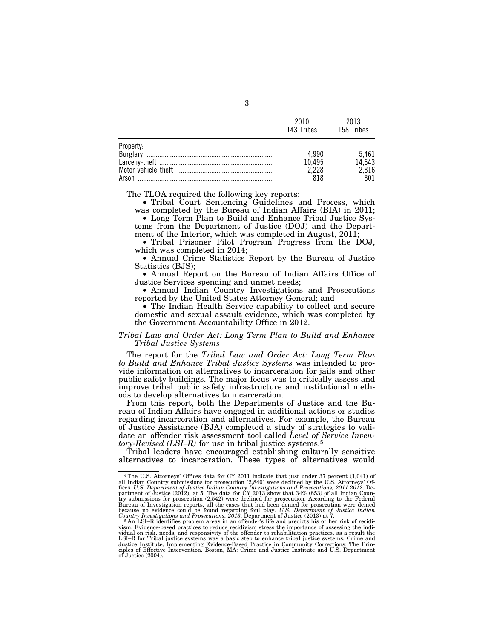| 2010<br>143 Tribes 158 Tribes   | 2013                            |
|---------------------------------|---------------------------------|
| 4.990<br>10,495<br>2.228<br>R1R | 5,461<br>14,643<br>2,816<br>801 |

The TLOA required the following key reports:

• Tribal Court Sentencing Guidelines and Process, which was completed by the Bureau of Indian Affairs (BIA) in 2011; • Long Term Plan to Build and Enhance Tribal Justice Sys-

tems from the Department of Justice (DOJ) and the Department of the Interior, which was completed in August, 2011;

• Tribal Prisoner Pilot Program Progress from the DOJ, which was completed in 2014;

• Annual Crime Statistics Report by the Bureau of Justice Statistics (BJS);

• Annual Report on the Bureau of Indian Affairs Office of Justice Services spending and unmet needs;

• Annual Indian Country Investigations and Prosecutions reported by the United States Attorney General; and

• The Indian Health Service capability to collect and secure domestic and sexual assault evidence, which was completed by the Government Accountability Office in 2012.

#### *Tribal Law and Order Act: Long Term Plan to Build and Enhance Tribal Justice Systems*

The report for the *Tribal Law and Order Act: Long Term Plan to Build and Enhance Tribal Justice Systems* was intended to provide information on alternatives to incarceration for jails and other public safety buildings. The major focus was to critically assess and improve tribal public safety infrastructure and institutional methods to develop alternatives to incarceration.

From this report, both the Departments of Justice and the Bureau of Indian Affairs have engaged in additional actions or studies regarding incarceration and alternatives. For example, the Bureau of Justice Assistance (BJA) completed a study of strategies to validate an offender risk assessment tool called *Level of Service Inventory-Revised (LSI–R)* for use in tribal justice systems.5

Tribal leaders have encouraged establishing culturally sensitive alternatives to incarceration. These types of alternatives would

<sup>&</sup>lt;sup>4</sup> The U.S. Attorneys' Offices data for CY 2011 indicate that just under 37 percent  $(1,041)$  of all Indian Country submissions for prosecution  $(2,840)$  were declined by the U.S. Attorneys' Offices. U.S. Department of J partment of Justice (2012), at 5. The data for CY 2013 show that 34% (853) of all Indian Coun-<br>try submissions for prosecution (2,542) were declined for prosecution. According to the Federal<br>Bureau of Investigation reports because no evidence could be found regarding foul play. *U.S. Department of Justice Indian*<br>Country Investigations and Prosecutions, 2013. Department of Justice (2013) at 7.<br><sup>5</sup> An LSI–R identifies problem areas in an off

vism. Evidence-based practices to reduce recidivism stress the importance of assessing the indi-<br>vidual on risk, needs, and responsivity of the offender to rehabilitation practices, as a result the<br>LSI–R for Tribal justice Justice Institute, Implementing Evidence-Based Practice in Community Corrections: The Prin-ciples of Effective Intervention. Boston, MA: Crime and Justice Institute and U.S. Department of Justice (2004).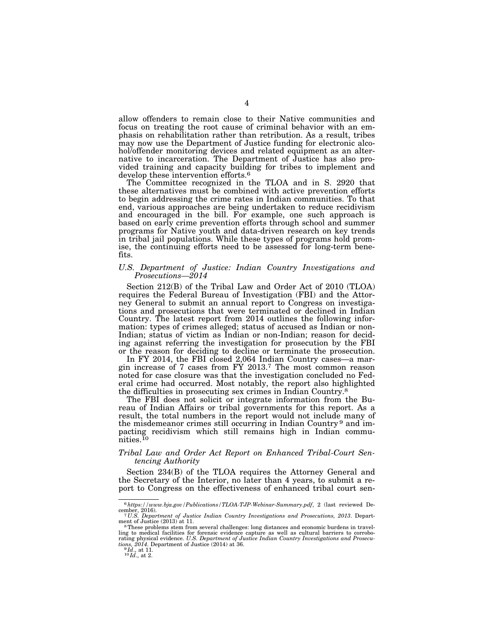allow offenders to remain close to their Native communities and focus on treating the root cause of criminal behavior with an emphasis on rehabilitation rather than retribution. As a result, tribes may now use the Department of Justice funding for electronic alcohol/offender monitoring devices and related equipment as an alternative to incarceration. The Department of Justice has also provided training and capacity building for tribes to implement and develop these intervention efforts.6

The Committee recognized in the TLOA and in S. 2920 that these alternatives must be combined with active prevention efforts to begin addressing the crime rates in Indian communities. To that end, various approaches are being undertaken to reduce recidivism and encouraged in the bill. For example, one such approach is based on early crime prevention efforts through school and summer programs for Native youth and data-driven research on key trends in tribal jail populations. While these types of programs hold promise, the continuing efforts need to be assessed for long-term benefits.

#### *U.S. Department of Justice: Indian Country Investigations and Prosecutions—2014*

Section 212(B) of the Tribal Law and Order Act of 2010 (TLOA) requires the Federal Bureau of Investigation (FBI) and the Attorney General to submit an annual report to Congress on investigations and prosecutions that were terminated or declined in Indian Country. The latest report from 2014 outlines the following information: types of crimes alleged; status of accused as Indian or non-Indian; status of victim as Indian or non-Indian; reason for deciding against referring the investigation for prosecution by the FBI or the reason for deciding to decline or terminate the prosecution.

In FY 2014, the FBI closed 2,064 Indian Country cases—a margin increase of 7 cases from FY 2013.7 The most common reason noted for case closure was that the investigation concluded no Federal crime had occurred. Most notably, the report also highlighted the difficulties in prosecuting sex crimes in Indian Country.8

The FBI does not solicit or integrate information from the Bureau of Indian Affairs or tribal governments for this report. As a result, the total numbers in the report would not include many of the misdemeanor crimes still occurring in Indian Country 9 and impacting recidivism which still remains high in Indian communities.<sup>10</sup>

# *Tribal Law and Order Act Report on Enhanced Tribal-Court Sentencing Authority*

Section 234(B) of the TLOA requires the Attorney General and the Secretary of the Interior, no later than 4 years, to submit a report to Congress on the effectiveness of enhanced tribal court sen-

<sup>6</sup>*https://www.bja.gov/Publications/TLOA-TJP-Webinar-Summary.pdf*, 2 (last reviewed De-

cember, 2016). 7 *U.S. Department of Justice Indian Country Investigations and Prosecutions, 2013.* Depart-<br>ment of Justice (2013) at 11.

ment of Justice (2013) at 11.<br><sup>8</sup>These problems stem from several challenges: long distances and economic burdens in travel-<br>ling to medical facilities for forensic evidence capture as well as cultural barriers to corrobo*tions, 2014.* Department of Justice (2014) at 36.  $9Id$ ., at 11.  $10Id$ , at 2.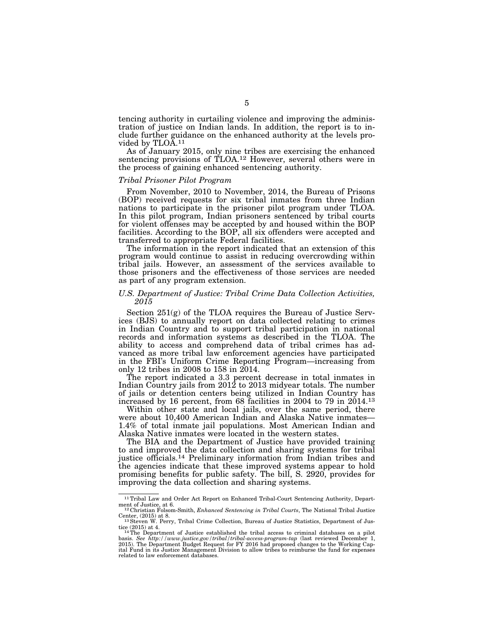tencing authority in curtailing violence and improving the administration of justice on Indian lands. In addition, the report is to include further guidance on the enhanced authority at the levels provided by TLOA.<sup>11</sup>

As of January 2015, only nine tribes are exercising the enhanced sentencing provisions of TLOA.<sup>12</sup> However, several others were in the process of gaining enhanced sentencing authority.

#### *Tribal Prisoner Pilot Program*

From November, 2010 to November, 2014, the Bureau of Prisons (BOP) received requests for six tribal inmates from three Indian nations to participate in the prisoner pilot program under TLOA. In this pilot program, Indian prisoners sentenced by tribal courts for violent offenses may be accepted by and housed within the BOP facilities. According to the BOP, all six offenders were accepted and transferred to appropriate Federal facilities.

The information in the report indicated that an extension of this program would continue to assist in reducing overcrowding within tribal jails. However, an assessment of the services available to those prisoners and the effectiveness of those services are needed as part of any program extension.

# *U.S. Department of Justice: Tribal Crime Data Collection Activities, 2015*

Section 251(g) of the TLOA requires the Bureau of Justice Services (BJS) to annually report on data collected relating to crimes in Indian Country and to support tribal participation in national records and information systems as described in the TLOA. The ability to access and comprehend data of tribal crimes has advanced as more tribal law enforcement agencies have participated in the FBI's Uniform Crime Reporting Program—increasing from only 12 tribes in 2008 to 158 in 2014.

The report indicated a 3.3 percent decrease in total inmates in Indian Country jails from 2012 to 2013 midyear totals. The number of jails or detention centers being utilized in Indian Country has increased by 16 percent, from 68 facilities in 2004 to 79 in 2014.13

Within other state and local jails, over the same period, there were about 10,400 American Indian and Alaska Native inmates— 1.4% of total inmate jail populations. Most American Indian and Alaska Native inmates were located in the western states.

The BIA and the Department of Justice have provided training to and improved the data collection and sharing systems for tribal justice officials.14 Preliminary information from Indian tribes and the agencies indicate that these improved systems appear to hold promising benefits for public safety. The bill, S. 2920, provides for improving the data collection and sharing systems.

<sup>&</sup>lt;sup>11</sup>Tribal Law and Order Act Report on Enhanced Tribal-Court Sentencing Authority, Department of Justice, at 6. 12 Christian Folsom-Smith, *Enhanced Sentencing in Tribal Courts*, The National Tribal Justice

Center, (2015) at 8.<br><sup>13</sup> Steven W. Perry, Tribal Crime Collection, Bureau of Justice Statistics, Department of Jus-

tice (2015) at 4.<br><sup>14</sup>The Department of Justice established the tribal access to criminal databases on a pilot<br>basis. *See http://www.justice.gov/tribal/tribal-access-program-tap* (last reviewed December 1, 2015). The Department Budget Request for FY 2016 had proposed changes to the Working Cap-ital Fund in its Justice Management Division to allow tribes to reimburse the fund for expenses related to law enforcement databases.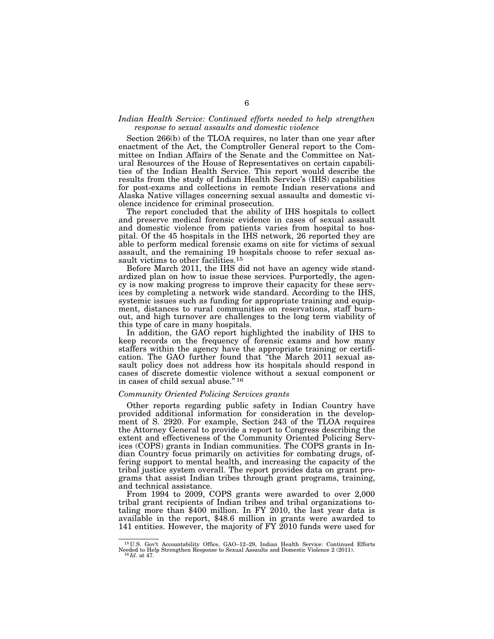### *Indian Health Service: Continued efforts needed to help strengthen response to sexual assaults and domestic violence*

Section 266(b) of the TLOA requires, no later than one year after enactment of the Act, the Comptroller General report to the Committee on Indian Affairs of the Senate and the Committee on Natural Resources of the House of Representatives on certain capabilities of the Indian Health Service. This report would describe the results from the study of Indian Health Service's (IHS) capabilities for post-exams and collections in remote Indian reservations and Alaska Native villages concerning sexual assaults and domestic violence incidence for criminal prosecution.

The report concluded that the ability of IHS hospitals to collect and preserve medical forensic evidence in cases of sexual assault and domestic violence from patients varies from hospital to hospital. Of the 45 hospitals in the IHS network, 26 reported they are able to perform medical forensic exams on site for victims of sexual assault, and the remaining 19 hospitals choose to refer sexual assault victims to other facilities.<sup>15</sup>

Before March 2011, the IHS did not have an agency wide standardized plan on how to issue these services. Purportedly, the agency is now making progress to improve their capacity for these services by completing a network wide standard. According to the IHS, systemic issues such as funding for appropriate training and equipment, distances to rural communities on reservations, staff burnout, and high turnover are challenges to the long term viability of this type of care in many hospitals.

In addition, the GAO report highlighted the inability of IHS to keep records on the frequency of forensic exams and how many staffers within the agency have the appropriate training or certification. The GAO further found that ''the March 2011 sexual assault policy does not address how its hospitals should respond in cases of discrete domestic violence without a sexual component or in cases of child sexual abuse."<sup>16</sup>

### *Community Oriented Policing Services grants*

Other reports regarding public safety in Indian Country have provided additional information for consideration in the development of S. 2920. For example, Section 243 of the TLOA requires the Attorney General to provide a report to Congress describing the extent and effectiveness of the Community Oriented Policing Services (COPS) grants in Indian communities. The COPS grants in Indian Country focus primarily on activities for combating drugs, offering support to mental health, and increasing the capacity of the tribal justice system overall. The report provides data on grant programs that assist Indian tribes through grant programs, training, and technical assistance.

From 1994 to 2009, COPS grants were awarded to over 2,000 tribal grant recipients of Indian tribes and tribal organizations totaling more than \$400 million. In FY 2010, the last year data is available in the report, \$48.6 million in grants were awarded to 141 entities. However, the majority of FY 2010 funds were used for

<sup>15</sup> U.S. Gov't Accountability Office, GAO–12–29, Indian Health Service: Continued Efforts Needed to Help Strengthen Response to Sexual Assaults and Domestic Violence 2 (2011). 16 *Id*. at 47.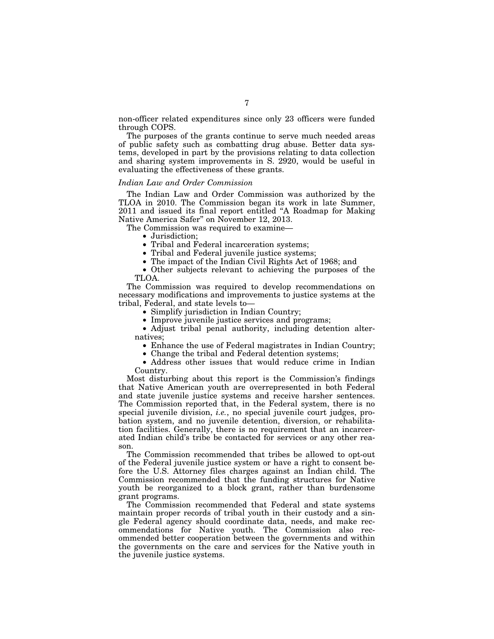non-officer related expenditures since only 23 officers were funded through COPS.

The purposes of the grants continue to serve much needed areas of public safety such as combatting drug abuse. Better data systems, developed in part by the provisions relating to data collection and sharing system improvements in S. 2920, would be useful in evaluating the effectiveness of these grants.

# *Indian Law and Order Commission*

The Indian Law and Order Commission was authorized by the TLOA in 2010. The Commission began its work in late Summer, 2011 and issued its final report entitled ''A Roadmap for Making Native America Safer'' on November 12, 2013.

The Commission was required to examine—

• Jurisdiction;

• Tribal and Federal incarceration systems;

• Tribal and Federal juvenile justice systems;

• The impact of the Indian Civil Rights Act of 1968; and

• Other subjects relevant to achieving the purposes of the TLOA.

The Commission was required to develop recommendations on necessary modifications and improvements to justice systems at the tribal, Federal, and state levels to—

• Simplify jurisdiction in Indian Country;

• Improve juvenile justice services and programs;

• Adjust tribal penal authority, including detention alternatives;

• Enhance the use of Federal magistrates in Indian Country;

• Change the tribal and Federal detention systems;

• Address other issues that would reduce crime in Indian Country.

Most disturbing about this report is the Commission's findings that Native American youth are overrepresented in both Federal and state juvenile justice systems and receive harsher sentences. The Commission reported that, in the Federal system, there is no special juvenile division, *i.e.*, no special juvenile court judges, probation system, and no juvenile detention, diversion, or rehabilitation facilities. Generally, there is no requirement that an incarcerated Indian child's tribe be contacted for services or any other reason.

The Commission recommended that tribes be allowed to opt-out of the Federal juvenile justice system or have a right to consent before the U.S. Attorney files charges against an Indian child. The Commission recommended that the funding structures for Native youth be reorganized to a block grant, rather than burdensome grant programs.

The Commission recommended that Federal and state systems maintain proper records of tribal youth in their custody and a single Federal agency should coordinate data, needs, and make recommendations for Native youth. The Commission also recommended better cooperation between the governments and within the governments on the care and services for the Native youth in the juvenile justice systems.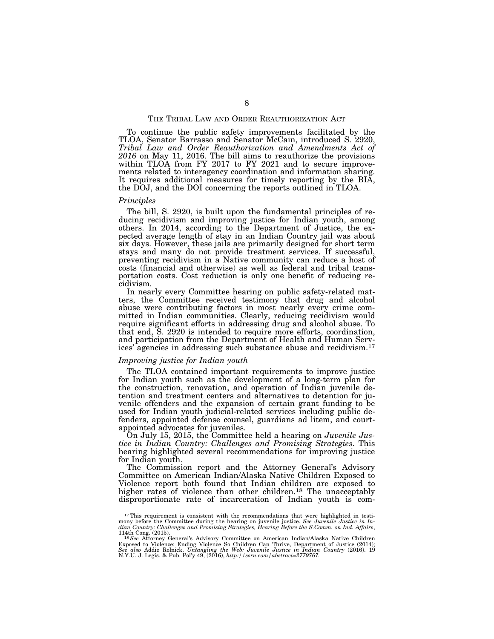#### THE TRIBAL LAW AND ORDER REAUTHORIZATION ACT

To continue the public safety improvements facilitated by the TLOA, Senator Barrasso and Senator McCain, introduced S. 2920, *Tribal Law and Order Reauthorization and Amendments Act of 2016* on May 11, 2016. The bill aims to reauthorize the provisions within TLOA from FY 2017 to FY 2021 and to secure improvements related to interagency coordination and information sharing. It requires additional measures for timely reporting by the BIA, the DOJ, and the DOI concerning the reports outlined in TLOA.

# *Principles*

The bill, S. 2920, is built upon the fundamental principles of reducing recidivism and improving justice for Indian youth, among others. In 2014, according to the Department of Justice, the expected average length of stay in an Indian Country jail was about six days. However, these jails are primarily designed for short term stays and many do not provide treatment services. If successful, preventing recidivism in a Native community can reduce a host of costs (financial and otherwise) as well as federal and tribal transportation costs. Cost reduction is only one benefit of reducing recidivism.

In nearly every Committee hearing on public safety-related matters, the Committee received testimony that drug and alcohol abuse were contributing factors in most nearly every crime committed in Indian communities. Clearly, reducing recidivism would require significant efforts in addressing drug and alcohol abuse. To that end, S. 2920 is intended to require more efforts, coordination, and participation from the Department of Health and Human Services' agencies in addressing such substance abuse and recidivism.17

# *Improving justice for Indian youth*

The TLOA contained important requirements to improve justice for Indian youth such as the development of a long-term plan for the construction, renovation, and operation of Indian juvenile detention and treatment centers and alternatives to detention for juvenile offenders and the expansion of certain grant funding to be used for Indian youth judicial-related services including public defenders, appointed defense counsel, guardians ad litem, and courtappointed advocates for juveniles.

On July 15, 2015, the Committee held a hearing on *Juvenile Justice in Indian Country: Challenges and Promising Strategies*. This hearing highlighted several recommendations for improving justice for Indian youth.

The Commission report and the Attorney General's Advisory Committee on American Indian/Alaska Native Children Exposed to Violence report both found that Indian children are exposed to higher rates of violence than other children.<sup>18</sup> The unacceptably disproportionate rate of incarceration of Indian youth is com-

<sup>&</sup>lt;sup>17</sup>This requirement is consistent with the recommendations that were highlighted in testi-<br>mony before the Committee during the hearing on juvenile justice. *See Juvenile Justice in Indian Country: Challenges and Promising Strategies, Hearing Before the S.Comm. on Ind. Affairs*, 114th Cong. (2015).<br>
<sup>18</sup>*See* Attorney General's Advisory Committee on American Indian/Alaska Native Children<sup>18</sup>*See* Attor

Exposed to Violence: Ending Violence So Children Can Thrive, Department of Justice (2014);<br>See also Addie Rolnick, U*ntangling the Web: Juvenile Justice in Indian Country* (2016). 19<br>N.Y.U. J. Legis. & Pub. Pol'y 49, (2016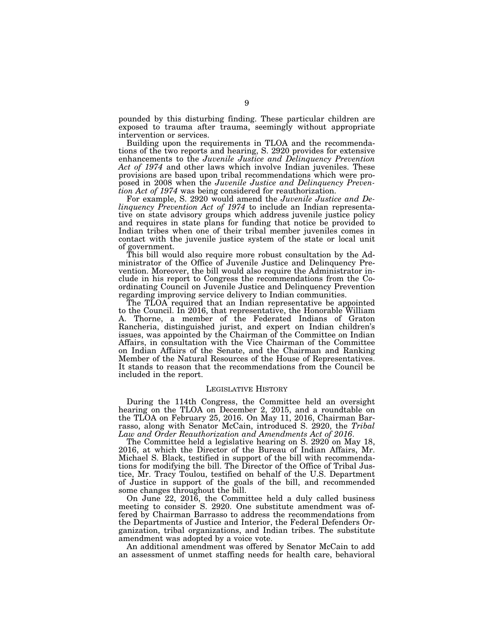pounded by this disturbing finding. These particular children are exposed to trauma after trauma, seemingly without appropriate intervention or services.

Building upon the requirements in TLOA and the recommendations of the two reports and hearing, S. 2920 provides for extensive enhancements to the *Juvenile Justice and Delinquency Prevention Act of 1974* and other laws which involve Indian juveniles. These provisions are based upon tribal recommendations which were proposed in 2008 when the *Juvenile Justice and Delinquency Prevention Act of 1974* was being considered for reauthorization.

For example, S. 2920 would amend the *Juvenile Justice and Delinquency Prevention Act of 1974* to include an Indian representative on state advisory groups which address juvenile justice policy and requires in state plans for funding that notice be provided to Indian tribes when one of their tribal member juveniles comes in contact with the juvenile justice system of the state or local unit of government.

This bill would also require more robust consultation by the Administrator of the Office of Juvenile Justice and Delinquency Prevention. Moreover, the bill would also require the Administrator include in his report to Congress the recommendations from the Coordinating Council on Juvenile Justice and Delinquency Prevention regarding improving service delivery to Indian communities.

The TLOA required that an Indian representative be appointed to the Council. In 2016, that representative, the Honorable William A. Thorne, a member of the Federated Indians of Graton Rancheria, distinguished jurist, and expert on Indian children's issues, was appointed by the Chairman of the Committee on Indian Affairs, in consultation with the Vice Chairman of the Committee on Indian Affairs of the Senate, and the Chairman and Ranking Member of the Natural Resources of the House of Representatives. It stands to reason that the recommendations from the Council be included in the report.

#### LEGISLATIVE HISTORY

During the 114th Congress, the Committee held an oversight hearing on the TLOA on December 2, 2015, and a roundtable on the TLOA on February 25, 2016. On May 11, 2016, Chairman Barrasso, along with Senator McCain, introduced S. 2920, the *Tribal* 

The Committee held a legislative hearing on S. 2920 on May 18, 2016, at which the Director of the Bureau of Indian Affairs, Mr. Michael S. Black, testified in support of the bill with recommendations for modifying the bill. The Director of the Office of Tribal Justice, Mr. Tracy Toulou, testified on behalf of the U.S. Department of Justice in support of the goals of the bill, and recommended some changes throughout the bill.

On June 22, 2016, the Committee held a duly called business meeting to consider S. 2920. One substitute amendment was offered by Chairman Barrasso to address the recommendations from the Departments of Justice and Interior, the Federal Defenders Organization, tribal organizations, and Indian tribes. The substitute amendment was adopted by a voice vote.

An additional amendment was offered by Senator McCain to add an assessment of unmet staffing needs for health care, behavioral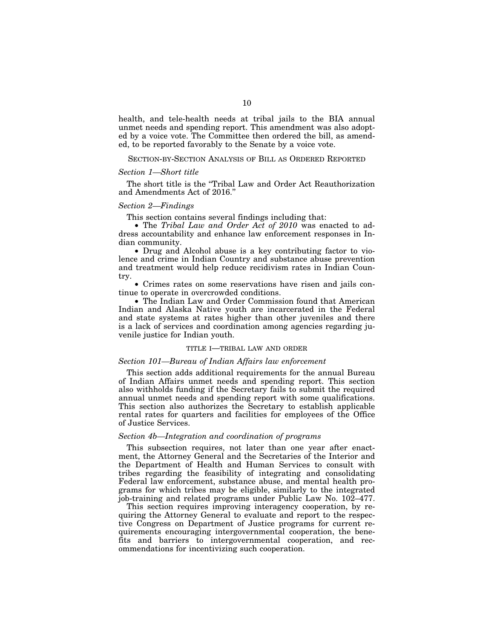health, and tele-health needs at tribal jails to the BIA annual unmet needs and spending report. This amendment was also adopted by a voice vote. The Committee then ordered the bill, as amended, to be reported favorably to the Senate by a voice vote.

#### SECTION-BY-SECTION ANALYSIS OF BILL AS ORDERED REPORTED

# *Section 1—Short title*

The short title is the ''Tribal Law and Order Act Reauthorization and Amendments Act of 2016.''

#### *Section 2—Findings*

This section contains several findings including that:

• The *Tribal Law and Order Act of 2010* was enacted to address accountability and enhance law enforcement responses in Indian community.

• Drug and Alcohol abuse is a key contributing factor to violence and crime in Indian Country and substance abuse prevention and treatment would help reduce recidivism rates in Indian Country.

• Crimes rates on some reservations have risen and jails continue to operate in overcrowded conditions.

• The Indian Law and Order Commission found that American Indian and Alaska Native youth are incarcerated in the Federal and state systems at rates higher than other juveniles and there is a lack of services and coordination among agencies regarding juvenile justice for Indian youth.

#### TITLE I—TRIBAL LAW AND ORDER

# *Section 101—Bureau of Indian Affairs law enforcement*

This section adds additional requirements for the annual Bureau of Indian Affairs unmet needs and spending report. This section also withholds funding if the Secretary fails to submit the required annual unmet needs and spending report with some qualifications. This section also authorizes the Secretary to establish applicable rental rates for quarters and facilities for employees of the Office of Justice Services.

## *Section 4b—Integration and coordination of programs*

This subsection requires, not later than one year after enactment, the Attorney General and the Secretaries of the Interior and the Department of Health and Human Services to consult with tribes regarding the feasibility of integrating and consolidating Federal law enforcement, substance abuse, and mental health programs for which tribes may be eligible, similarly to the integrated job-training and related programs under Public Law No. 102–477.

This section requires improving interagency cooperation, by requiring the Attorney General to evaluate and report to the respective Congress on Department of Justice programs for current requirements encouraging intergovernmental cooperation, the benefits and barriers to intergovernmental cooperation, and recommendations for incentivizing such cooperation.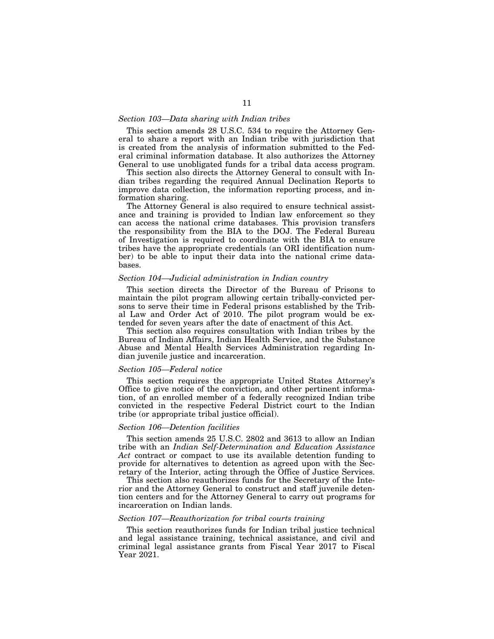#### *Section 103—Data sharing with Indian tribes*

This section amends 28 U.S.C. 534 to require the Attorney General to share a report with an Indian tribe with jurisdiction that is created from the analysis of information submitted to the Federal criminal information database. It also authorizes the Attorney General to use unobligated funds for a tribal data access program.

This section also directs the Attorney General to consult with Indian tribes regarding the required Annual Declination Reports to improve data collection, the information reporting process, and information sharing.

The Attorney General is also required to ensure technical assistance and training is provided to Indian law enforcement so they can access the national crime databases. This provision transfers the responsibility from the BIA to the DOJ. The Federal Bureau of Investigation is required to coordinate with the BIA to ensure tribes have the appropriate credentials (an ORI identification number) to be able to input their data into the national crime databases.

### *Section 104—Judicial administration in Indian country*

This section directs the Director of the Bureau of Prisons to maintain the pilot program allowing certain tribally-convicted persons to serve their time in Federal prisons established by the Tribal Law and Order Act of 2010. The pilot program would be extended for seven years after the date of enactment of this Act.

This section also requires consultation with Indian tribes by the Bureau of Indian Affairs, Indian Health Service, and the Substance Abuse and Mental Health Services Administration regarding Indian juvenile justice and incarceration.

#### *Section 105—Federal notice*

This section requires the appropriate United States Attorney's Office to give notice of the conviction, and other pertinent information, of an enrolled member of a federally recognized Indian tribe convicted in the respective Federal District court to the Indian tribe (or appropriate tribal justice official).

#### *Section 106—Detention facilities*

This section amends 25 U.S.C. 2802 and 3613 to allow an Indian tribe with an *Indian Self-Determination and Education Assistance Act* contract or compact to use its available detention funding to provide for alternatives to detention as agreed upon with the Secretary of the Interior, acting through the Office of Justice Services.

This section also reauthorizes funds for the Secretary of the Interior and the Attorney General to construct and staff juvenile detention centers and for the Attorney General to carry out programs for incarceration on Indian lands.

# *Section 107—Reauthorization for tribal courts training*

This section reauthorizes funds for Indian tribal justice technical and legal assistance training, technical assistance, and civil and criminal legal assistance grants from Fiscal Year 2017 to Fiscal Year 2021.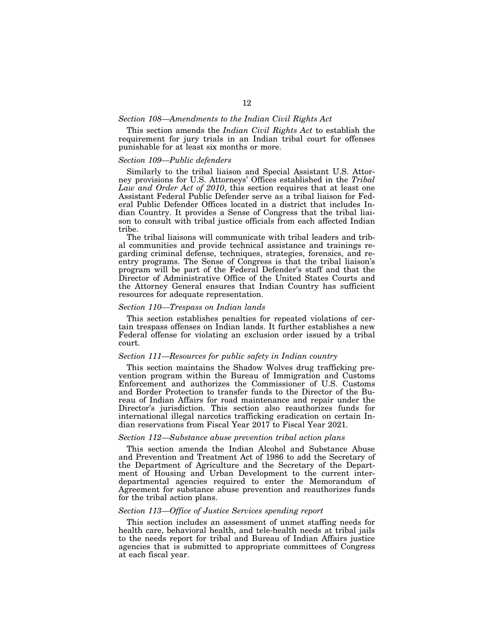### *Section 108—Amendments to the Indian Civil Rights Act*

This section amends the *Indian Civil Rights Act* to establish the requirement for jury trials in an Indian tribal court for offenses punishable for at least six months or more.

#### *Section 109—Public defenders*

Similarly to the tribal liaison and Special Assistant U.S. Attorney provisions for U.S. Attorneys' Offices established in the *Tribal Law and Order Act of 2010*, this section requires that at least one Assistant Federal Public Defender serve as a tribal liaison for Federal Public Defender Offices located in a district that includes Indian Country. It provides a Sense of Congress that the tribal liaison to consult with tribal justice officials from each affected Indian tribe.

The tribal liaisons will communicate with tribal leaders and tribal communities and provide technical assistance and trainings regarding criminal defense, techniques, strategies, forensics, and reentry programs. The Sense of Congress is that the tribal liaison's program will be part of the Federal Defender's staff and that the Director of Administrative Office of the United States Courts and the Attorney General ensures that Indian Country has sufficient resources for adequate representation.

#### *Section 110—Trespass on Indian lands*

This section establishes penalties for repeated violations of certain trespass offenses on Indian lands. It further establishes a new Federal offense for violating an exclusion order issued by a tribal court.

### *Section 111—Resources for public safety in Indian country*

This section maintains the Shadow Wolves drug trafficking prevention program within the Bureau of Immigration and Customs Enforcement and authorizes the Commissioner of U.S. Customs and Border Protection to transfer funds to the Director of the Bureau of Indian Affairs for road maintenance and repair under the Director's jurisdiction. This section also reauthorizes funds for international illegal narcotics trafficking eradication on certain Indian reservations from Fiscal Year 2017 to Fiscal Year 2021.

# *Section 112—Substance abuse prevention tribal action plans*

This section amends the Indian Alcohol and Substance Abuse and Prevention and Treatment Act of 1986 to add the Secretary of the Department of Agriculture and the Secretary of the Department of Housing and Urban Development to the current interdepartmental agencies required to enter the Memorandum of Agreement for substance abuse prevention and reauthorizes funds for the tribal action plans.

#### *Section 113—Office of Justice Services spending report*

This section includes an assessment of unmet staffing needs for health care, behavioral health, and tele-health needs at tribal jails to the needs report for tribal and Bureau of Indian Affairs justice agencies that is submitted to appropriate committees of Congress at each fiscal year.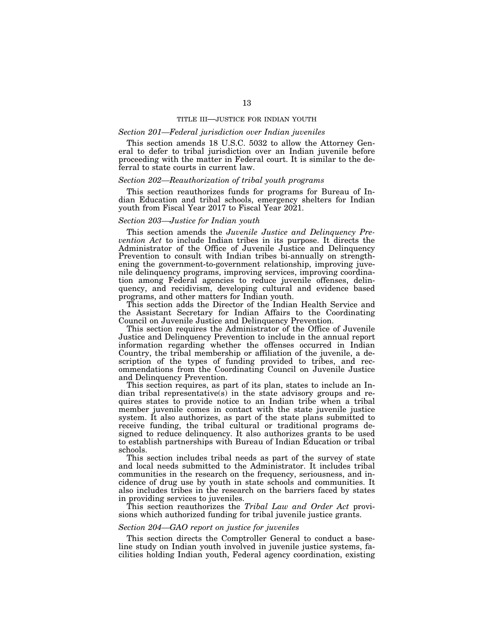### TITLE III—JUSTICE FOR INDIAN YOUTH

# *Section 201—Federal jurisdiction over Indian juveniles*

This section amends 18 U.S.C. 5032 to allow the Attorney General to defer to tribal jurisdiction over an Indian juvenile before proceeding with the matter in Federal court. It is similar to the deferral to state courts in current law.

### *Section 202—Reauthorization of tribal youth programs*

This section reauthorizes funds for programs for Bureau of Indian Education and tribal schools, emergency shelters for Indian youth from Fiscal Year 2017 to Fiscal Year 2021.

# *Section 203—Justice for Indian youth*

This section amends the *Juvenile Justice and Delinquency Prevention Act* to include Indian tribes in its purpose. It directs the Administrator of the Office of Juvenile Justice and Delinquency Prevention to consult with Indian tribes bi-annually on strengthening the government-to-government relationship, improving juvenile delinquency programs, improving services, improving coordination among Federal agencies to reduce juvenile offenses, delinquency, and recidivism, developing cultural and evidence based programs, and other matters for Indian youth.

This section adds the Director of the Indian Health Service and the Assistant Secretary for Indian Affairs to the Coordinating Council on Juvenile Justice and Delinquency Prevention.

This section requires the Administrator of the Office of Juvenile Justice and Delinquency Prevention to include in the annual report information regarding whether the offenses occurred in Indian Country, the tribal membership or affiliation of the juvenile, a description of the types of funding provided to tribes, and recommendations from the Coordinating Council on Juvenile Justice and Delinquency Prevention.

This section requires, as part of its plan, states to include an Indian tribal representative(s) in the state advisory groups and requires states to provide notice to an Indian tribe when a tribal member juvenile comes in contact with the state juvenile justice system. It also authorizes, as part of the state plans submitted to receive funding, the tribal cultural or traditional programs designed to reduce delinquency. It also authorizes grants to be used to establish partnerships with Bureau of Indian Education or tribal schools.

This section includes tribal needs as part of the survey of state and local needs submitted to the Administrator. It includes tribal communities in the research on the frequency, seriousness, and incidence of drug use by youth in state schools and communities. It also includes tribes in the research on the barriers faced by states in providing services to juveniles.

This section reauthorizes the *Tribal Law and Order Act* provisions which authorized funding for tribal juvenile justice grants.

## *Section 204—GAO report on justice for juveniles*

This section directs the Comptroller General to conduct a baseline study on Indian youth involved in juvenile justice systems, facilities holding Indian youth, Federal agency coordination, existing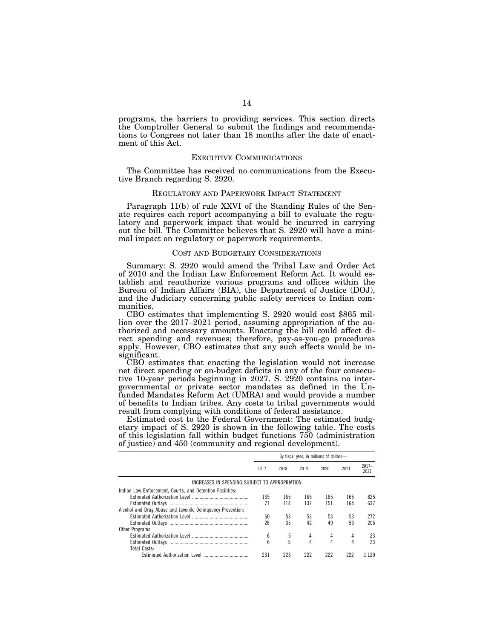programs, the barriers to providing services. This section directs the Comptroller General to submit the findings and recommendations to Congress not later than 18 months after the date of enactment of this Act.

## EXECUTIVE COMMUNICATIONS

The Committee has received no communications from the Executive Branch regarding S. 2920.

#### REGULATORY AND PAPERWORK IMPACT STATEMENT

Paragraph 11(b) of rule XXVI of the Standing Rules of the Senate requires each report accompanying a bill to evaluate the regulatory and paperwork impact that would be incurred in carrying out the bill. The Committee believes that S. 2920 will have a minimal impact on regulatory or paperwork requirements.

# COST AND BUDGETARY CONSIDERATIONS

Summary: S. 2920 would amend the Tribal Law and Order Act of 2010 and the Indian Law Enforcement Reform Act. It would establish and reauthorize various programs and offices within the Bureau of Indian Affairs (BIA), the Department of Justice (DOJ), and the Judiciary concerning public safety services to Indian communities.

CBO estimates that implementing S. 2920 would cost \$865 million over the 2017–2021 period, assuming appropriation of the authorized and necessary amounts. Enacting the bill could affect direct spending and revenues; therefore, pay-as-you-go procedures apply. However, CBO estimates that any such effects would be insignificant.

CBO estimates that enacting the legislation would not increase net direct spending or on-budget deficits in any of the four consecutive 10-year periods beginning in 2027. S. 2920 contains no intergovernmental or private sector mandates as defined in the Unfunded Mandates Reform Act (UMRA) and would provide a number of benefits to Indian tribes. Any costs to tribal governments would result from complying with conditions of federal assistance.

Estimated cost to the Federal Government: The estimated budgetary impact of S. 2920 is shown in the following table. The costs of this legislation fall within budget functions 750 (administration of justice) and 450 (community and regional development).

|                                                             | By fiscal year, in millions of dollars- |      |      |      |      |                  |
|-------------------------------------------------------------|-----------------------------------------|------|------|------|------|------------------|
|                                                             | 2017                                    | 2018 | 2019 | 2020 | 2021 | $2017 -$<br>2021 |
| INCREASES IN SPENDING SUBJECT TO APPROPRIATION              |                                         |      |      |      |      |                  |
| Indian Law Enforcement, Courts, and Detention Facilities:   |                                         |      |      |      |      |                  |
|                                                             | 165                                     | 165  | 165  | 165  | 165  | 825              |
|                                                             | 71                                      | 114  | 137  | 151  | 164  | 637              |
| Alcohol and Drug Abuse and Juvenile Delinguency Prevention: |                                         |      |      |      |      |                  |
|                                                             | 60                                      | 53   | 53   | 53   | 53   | 272              |
|                                                             | 26                                      | 35   | 42   | 49   | 53   | 205              |
| Other Programs:                                             |                                         |      |      |      |      |                  |
|                                                             | 6                                       | 5    | 4    |      |      | 23               |
|                                                             | 6                                       | 5    |      |      |      | 23               |
| Total Costs:                                                |                                         |      |      |      |      |                  |
|                                                             | 231                                     | 223  | 222  | 222  | 222  | 1.120            |
|                                                             |                                         |      |      |      |      |                  |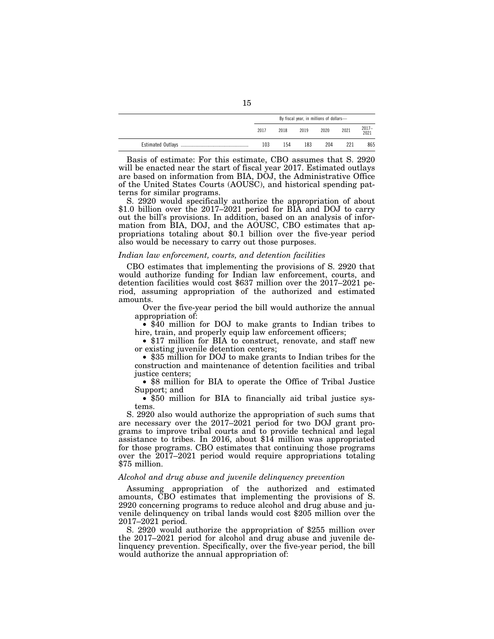| By fiscal year, in millions of dollars- |      |      |      |      |               |
|-----------------------------------------|------|------|------|------|---------------|
| 2017                                    | 2018 | 2019 | 2020 | 2021 | 2017-<br>2021 |
| 103                                     | 154  | 183  | 204  | 221  | 865           |

Basis of estimate: For this estimate, CBO assumes that S. 2920 will be enacted near the start of fiscal year 2017. Estimated outlays are based on information from BIA, DOJ, the Administrative Office of the United States Courts (AOUSC), and historical spending patterns for similar programs.

S. 2920 would specifically authorize the appropriation of about \$1.0 billion over the 2017–2021 period for BIA and DOJ to carry out the bill's provisions. In addition, based on an analysis of information from BIA, DOJ, and the AOUSC, CBO estimates that appropriations totaling about \$0.1 billion over the five-year period also would be necessary to carry out those purposes.

#### *Indian law enforcement, courts, and detention facilities*

CBO estimates that implementing the provisions of S. 2920 that would authorize funding for Indian law enforcement, courts, and detention facilities would cost \$637 million over the 2017–2021 period, assuming appropriation of the authorized and estimated amounts.

Over the five-year period the bill would authorize the annual appropriation of:

• \$40 million for DOJ to make grants to Indian tribes to hire, train, and properly equip law enforcement officers;

• \$17 million for BIA to construct, renovate, and staff new or existing juvenile detention centers;

• \$35 million for DOJ to make grants to Indian tribes for the construction and maintenance of detention facilities and tribal justice centers;

• \$8 million for BIA to operate the Office of Tribal Justice Support; and

• \$50 million for BIA to financially aid tribal justice systems.

S. 2920 also would authorize the appropriation of such sums that are necessary over the 2017–2021 period for two DOJ grant programs to improve tribal courts and to provide technical and legal assistance to tribes. In 2016, about \$14 million was appropriated for those programs. CBO estimates that continuing those programs over the 2017–2021 period would require appropriations totaling \$75 million.

## *Alcohol and drug abuse and juvenile delinquency prevention*

Assuming appropriation of the authorized and estimated amounts, CBO estimates that implementing the provisions of S. 2920 concerning programs to reduce alcohol and drug abuse and juvenile delinquency on tribal lands would cost \$205 million over the 2017–2021 period.

S. 2920 would authorize the appropriation of \$255 million over the 2017–2021 period for alcohol and drug abuse and juvenile delinquency prevention. Specifically, over the five-year period, the bill would authorize the annual appropriation of: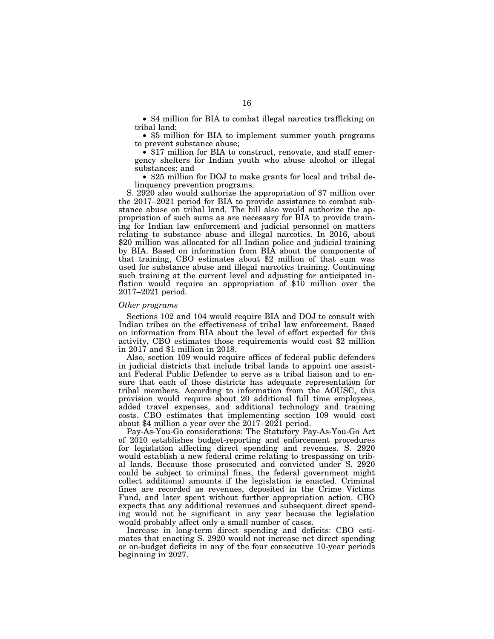• \$4 million for BIA to combat illegal narcotics trafficking on tribal land;

• \$5 million for BIA to implement summer youth programs to prevent substance abuse;

• \$17 million for BIA to construct, renovate, and staff emergency shelters for Indian youth who abuse alcohol or illegal substances; and

• \$25 million for DOJ to make grants for local and tribal delinquency prevention programs.

S. 2920 also would authorize the appropriation of \$7 million over the 2017–2021 period for BIA to provide assistance to combat substance abuse on tribal land. The bill also would authorize the appropriation of such sums as are necessary for BIA to provide training for Indian law enforcement and judicial personnel on matters relating to substance abuse and illegal narcotics. In 2016, about \$20 million was allocated for all Indian police and judicial training by BIA. Based on information from BIA about the components of that training, CBO estimates about \$2 million of that sum was used for substance abuse and illegal narcotics training. Continuing such training at the current level and adjusting for anticipated inflation would require an appropriation of \$10 million over the 2017–2021 period.

#### *Other programs*

Sections 102 and 104 would require BIA and DOJ to consult with Indian tribes on the effectiveness of tribal law enforcement. Based on information from BIA about the level of effort expected for this activity, CBO estimates those requirements would cost \$2 million in 2017 and \$1 million in 2018.

Also, section 109 would require offices of federal public defenders in judicial districts that include tribal lands to appoint one assistant Federal Public Defender to serve as a tribal liaison and to ensure that each of those districts has adequate representation for tribal members. According to information from the AOUSC, this provision would require about 20 additional full time employees, added travel expenses, and additional technology and training costs. CBO estimates that implementing section 109 would cost about \$4 million a year over the 2017–2021 period.

Pay-As-You-Go considerations: The Statutory Pay-As-You-Go Act of 2010 establishes budget-reporting and enforcement procedures for legislation affecting direct spending and revenues. S. 2920 would establish a new federal crime relating to trespassing on tribal lands. Because those prosecuted and convicted under S. 2920 could be subject to criminal fines, the federal government might collect additional amounts if the legislation is enacted. Criminal fines are recorded as revenues, deposited in the Crime Victims Fund, and later spent without further appropriation action. CBO expects that any additional revenues and subsequent direct spending would not be significant in any year because the legislation would probably affect only a small number of cases.

Increase in long-term direct spending and deficits: CBO estimates that enacting S. 2920 would not increase net direct spending or on-budget deficits in any of the four consecutive 10-year periods beginning in 2027.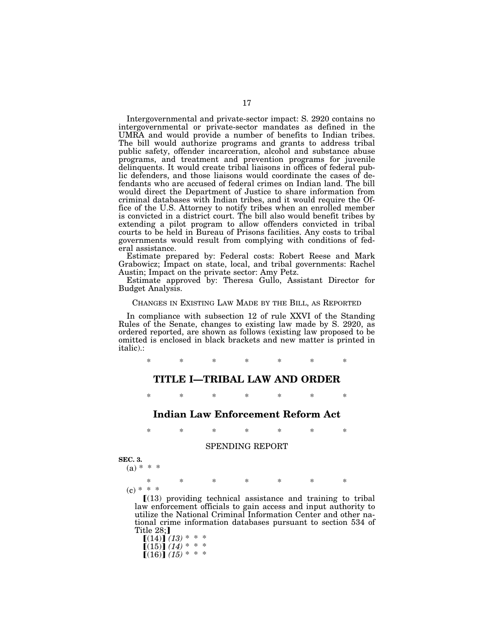Intergovernmental and private-sector impact: S. 2920 contains no intergovernmental or private-sector mandates as defined in the UMRA and would provide a number of benefits to Indian tribes. The bill would authorize programs and grants to address tribal public safety, offender incarceration, alcohol and substance abuse programs, and treatment and prevention programs for juvenile delinquents. It would create tribal liaisons in offices of federal public defenders, and those liaisons would coordinate the cases of defendants who are accused of federal crimes on Indian land. The bill would direct the Department of Justice to share information from criminal databases with Indian tribes, and it would require the Office of the U.S. Attorney to notify tribes when an enrolled member is convicted in a district court. The bill also would benefit tribes by extending a pilot program to allow offenders convicted in tribal courts to be held in Bureau of Prisons facilities. Any costs to tribal governments would result from complying with conditions of federal assistance.

Estimate prepared by: Federal costs: Robert Reese and Mark Grabowicz; Impact on state, local, and tribal governments: Rachel Austin; Impact on the private sector: Amy Petz.

Estimate approved by: Theresa Gullo, Assistant Director for Budget Analysis.

#### CHANGES IN EXISTING LAW MADE BY THE BILL, AS REPORTED

In compliance with subsection 12 of rule XXVI of the Standing Rules of the Senate, changes to existing law made by S. 2920, as ordered reported, are shown as follows (existing law proposed to be omitted is enclosed in black brackets and new matter is printed in italic).:

\* \* \* \* \* \* \*

# **TITLE I—TRIBAL LAW AND ORDER**

\* \* \* \* \* \* \*

# **Indian Law Enforcement Reform Act**

\* \* \* \* \* \* \*

#### SPENDING REPORT

| <b>SEC. 3.</b> |  |             |  |
|----------------|--|-------------|--|
|                |  | $(a) * * *$ |  |

\* \* \* \* \* \* \*  $(c) * * *$ 

 $(13)$  providing technical assistance and training to tribal law enforcement officials to gain access and input authority to utilize the National Criminal Information Center and other national crime information databases pursuant to section 534 of Title  $28:1$ 

 $[(14)] (13) * * *$  $[(15)] (14) * * *$  $[(16)] (15) * * *$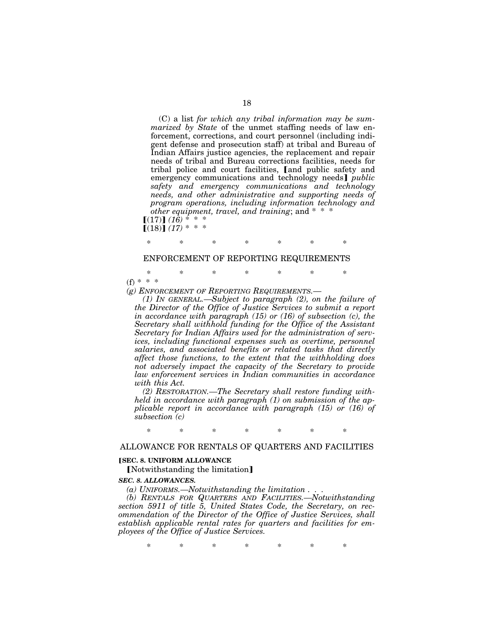(C) a list *for which any tribal information may be summarized by State* of the unmet staffing needs of law enforcement, corrections, and court personnel (including indigent defense and prosecution staff) at tribal and Bureau of Indian Affairs justice agencies, the replacement and repair needs of tribal and Bureau corrections facilities, needs for tribal police and court facilities, and public safety and emergency communications and technology needs] *public safety and emergency communications and technology needs, and other administrative and supporting needs of program operations, including information technology and other equipment, travel, and training*; and \* \* \*

 $[(17)]$   $(16)$  \* \* \*  $[(18)]$   $(17)$  \* \* \*

# \* \* \* \* \* \* \*

#### ENFORCEMENT OF REPORTING REQUIREMENTS

\* \* \* \* \* \* \*

 $(f) * * * *$ 

*(g) ENFORCEMENT OF REPORTING REQUIREMENTS.—* 

*(1) IN GENERAL.—Subject to paragraph (2), on the failure of the Director of the Office of Justice Services to submit a report in accordance with paragraph (15) or (16) of subsection (c), the Secretary shall withhold funding for the Office of the Assistant Secretary for Indian Affairs used for the administration of services, including functional expenses such as overtime, personnel salaries, and associated benefits or related tasks that directly affect those functions, to the extent that the withholding does not adversely impact the capacity of the Secretary to provide law enforcement services in Indian communities in accordance with this Act.* 

*(2) RESTORATION.—The Secretary shall restore funding withheld in accordance with paragraph (1) on submission of the applicable report in accordance with paragraph (15) or (16) of subsection (c)* 

\* \* \* \* \* \* \*

## ALLOWANCE FOR RENTALS OF QUARTERS AND FACILITIES

# **[SEC. 8. UNIFORM ALLOWANCE**

[Notwithstanding the limitation]

#### *SEC. 8. ALLOWANCES.*

*(a) UNIFORMS.—Notwithstanding the limitation . . .* 

*(b) RENTALS FOR QUARTERS AND FACILITIES.—Notwithstanding section 5911 of title 5, United States Code, the Secretary, on recommendation of the Director of the Office of Justice Services, shall establish applicable rental rates for quarters and facilities for employees of the Office of Justice Services.*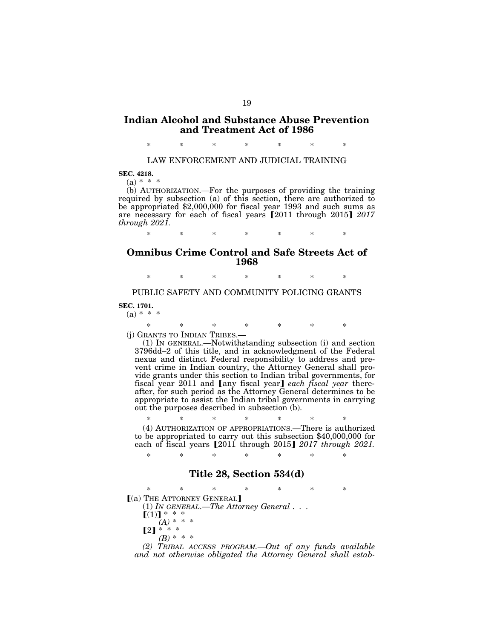# **Indian Alcohol and Substance Abuse Prevention and Treatment Act of 1986**

# \* \* \* \* \* \* \*

# LAW ENFORCEMENT AND JUDICIAL TRAINING

# **SEC. 4218.**

 $(a) * * *$ 

(b) AUTHORIZATION.—For the purposes of providing the training required by subsection (a) of this section, there are authorized to be appropriated \$2,000,000 for fiscal year 1993 and such sums as are necessary for each of fiscal years [2011 through 2015] 2017 *through 2021.* 

# \* \* \* \* \* \* \*

# **Omnibus Crime Control and Safe Streets Act of 1968**

# \* \* \* \* \* \* \* PUBLIC SAFETY AND COMMUNITY POLICING GRANTS

# **SEC. 1701.**

 $(a) * * * *$ 

# \* \* \* \* \* \* \*

(j) GRANTS TO INDIAN TRIBES.—

(1) IN GENERAL.—Notwithstanding subsection (i) and section 3796dd–2 of this title, and in acknowledgment of the Federal nexus and distinct Federal responsibility to address and prevent crime in Indian country, the Attorney General shall provide grants under this section to Indian tribal governments, for fiscal year 2011 and [any fiscal year] each fiscal year thereafter, for such period as the Attorney General determines to be appropriate to assist the Indian tribal governments in carrying out the purposes described in subsection (b).

\* \* \* \* \* \* \* (4) AUTHORIZATION OF APPROPRIATIONS.—There is authorized to be appropriated to carry out this subsection \$40,000,000 for each of fiscal years [2011 through 2015] 2017 *through 2021*.

\* \* \* \* \* \* \*

# **Title 28, Section 534(d)**

\* \* \* \* \* \* \*  $(a)$  The Attorney General] (1) *IN GENERAL*.—*The Attorney General . . .*   $[(1)]$ \* \* \*  $\textbf{[}2\textbf{]}$ <sup>\*</sup> \* \* \* *(B)* \* \* \* *(2) TRIBAL ACCESS PROGRAM.—Out of any funds available and not otherwise obligated the Attorney General shall estab-*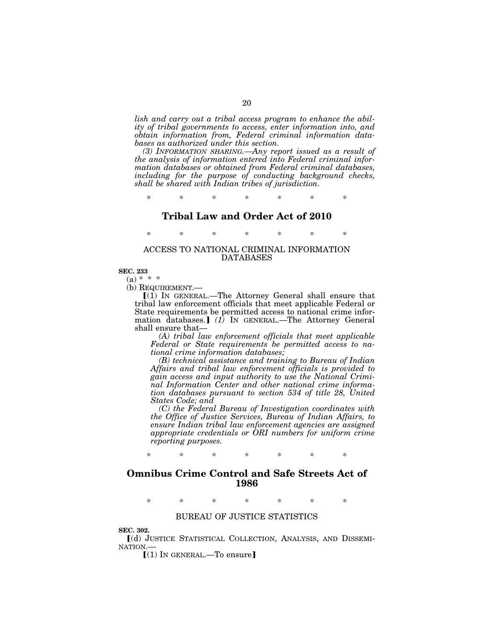*lish and carry out a tribal access program to enhance the ability of tribal governments to access, enter information into, and obtain information from, Federal criminal information databases as authorized under this section.* 

*(3) INFORMATION SHARING.—Any report issued as a result of the analysis of information entered into Federal criminal information databases or obtained from Federal criminal databases, including for the purpose of conducting background checks, shall be shared with Indian tribes of jurisdiction.* 

\* \* \* \* \* \* \*

# **Tribal Law and Order Act of 2010**

# \* \* \* \* \* \* \*

# ACCESS TO NATIONAL CRIMINAL INFORMATION DATABASES

# **SEC. 233**

 $(a) * * *$ 

(b) REQUIREMENT.—

 $(1)$  In GENERAL.—The Attorney General shall ensure that tribal law enforcement officials that meet applicable Federal or State requirements be permitted access to national crime information databases.]  $(I)$  IN GENERAL.—The Attorney General shall ensure that—

*(A) tribal law enforcement officials that meet applicable Federal or State requirements be permitted access to national crime information databases;* 

*(B) technical assistance and training to Bureau of Indian Affairs and tribal law enforcement officials is provided to gain access and input authority to use the National Criminal Information Center and other national crime information databases pursuant to section 534 of title 28, United States Code; and* 

*(C) the Federal Bureau of Investigation coordinates with the Office of Justice Services, Bureau of Indian Affairs, to ensure Indian tribal law enforcement agencies are assigned appropriate credentials or ORI numbers for uniform crime reporting purposes.* 

\* \* \* \* \* \* \*

# **Omnibus Crime Control and Safe Streets Act of 1986**

\* \* \* \* \* \* \*

# BUREAU OF JUSTICE STATISTICS

#### **SEC. 302.**

ø(d) JUSTICE STATISTICAL COLLECTION, ANALYSIS, AND DISSEMI-NATION.—

 $(1)$  In GENERAL.—To ensure]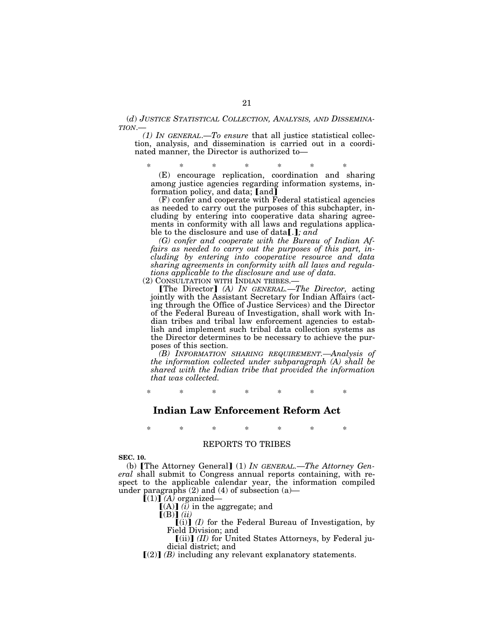(*d*) *JUSTICE STATISTICAL COLLECTION, ANALYSIS, AND DISSEMINA-TION*.—

*(1) IN GENERAL*.—*To ensure* that all justice statistical collection, analysis, and dissemination is carried out in a coordinated manner, the Director is authorized to—

\* \* \* \* \* \* \* (E) encourage replication, coordination and sharing among justice agencies regarding information systems, information policy, and data; [and]

(F) confer and cooperate with Federal statistical agencies as needed to carry out the purposes of this subchapter, including by entering into cooperative data sharing agreements in conformity with all laws and regulations applicable to the disclosure and use of data[.*]*; and

*(G) confer and cooperate with the Bureau of Indian Affairs as needed to carry out the purposes of this part, including by entering into cooperative resource and data sharing agreements in conformity with all laws and regulations applicable to the disclosure and use of data.* 

(2) CONSULTATION WITH INDIAN TRIBES.— øThe Director¿ *(A) IN GENERAL.*—*The Director,* acting jointly with the Assistant Secretary for Indian Affairs (acting through the Office of Justice Services) and the Director of the Federal Bureau of Investigation, shall work with Indian tribes and tribal law enforcement agencies to establish and implement such tribal data collection systems as the Director determines to be necessary to achieve the purposes of this section.

*(B) INFORMATION SHARING REQUIREMENT.—Analysis of the information collected under subparagraph (A) shall be shared with the Indian tribe that provided the information that was collected.* 

\* \* \* \* \* \* \*

# **Indian Law Enforcement Reform Act**

\* \* \* \* \* \* \*

# REPORTS TO TRIBES

**SEC. 10.** 

(b) **[The Attorney General]** (1) *IN GENERAL*.—*The Attorney General* shall submit to Congress annual reports containing, with respect to the applicable calendar year, the information compiled under paragraphs (2) and (4) of subsection (a)—

 $[(1)] (A)$  organized—

 $[(A)]$  *(i)* in the aggregate; and

 $[(B)]$   $(ii)$ 

 $[(i)]$  *(I)* for the Federal Bureau of Investigation, by Field Division; and

**[(ii)]** *(II)* for United States Attorneys, by Federal judicial district; and

 $(2)$  *(B)* including any relevant explanatory statements.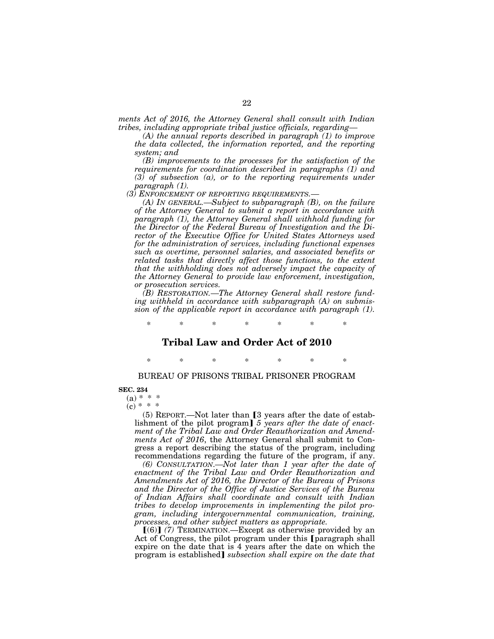*ments Act of 2016, the Attorney General shall consult with Indian tribes, including appropriate tribal justice officials, regarding—* 

*(A) the annual reports described in paragraph (1) to improve the data collected, the information reported, and the reporting system; and* 

*(B) improvements to the processes for the satisfaction of the requirements for coordination described in paragraphs (1) and*   $(3)$  of subsection  $(a)$ , or to the reporting requirements under *paragraph (1).* 

*(3) ENFORCEMENT OF REPORTING REQUIREMENTS.—* 

*(A) IN GENERAL.—Subject to subparagraph (B), on the failure of the Attorney General to submit a report in accordance with paragraph (1), the Attorney General shall withhold funding for the Director of the Federal Bureau of Investigation and the Director of the Executive Office for United States Attorneys used for the administration of services, including functional expenses such as overtime, personnel salaries, and associated benefits or related tasks that directly affect those functions, to the extent that the withholding does not adversely impact the capacity of the Attorney General to provide law enforcement, investigation, or prosecution services.* 

*(B) RESTORATION.—The Attorney General shall restore funding withheld in accordance with subparagraph (A) on submission of the applicable report in accordance with paragraph (1).* 

# \* \* \* \* \* \* \* **Tribal Law and Order Act of 2010**

\* \* \* \* \* \* \*

# BUREAU OF PRISONS TRIBAL PRISONER PROGRAM

#### **SEC. 234**

 $(a) * * *$ 

 $(c) * * *$ 

 $(5)$  REPORT.—Not later than [3 years after the date of establishment of the pilot program] 5 years after the date of enact*ment of the Tribal Law and Order Reauthorization and Amendments Act of 2016*, the Attorney General shall submit to Congress a report describing the status of the program, including recommendations regarding the future of the program, if any.

*(6) CONSULTATION*.*—Not later than 1 year after the date of enactment of the Tribal Law and Order Reauthorization and Amendments Act of 2016, the Director of the Bureau of Prisons and the Director of the Office of Justice Services of the Bureau of Indian Affairs shall coordinate and consult with Indian tribes to develop improvements in implementing the pilot program, including intergovernmental communication, training, processes, and other subject matters as appropriate.* 

 $[(6)]$  (7) TERMINATION.—Except as otherwise provided by an Act of Congress, the pilot program under this **[**paragraph shall] expire on the date that is 4 years after the date on which the program is established] *subsection shall expire on the date that*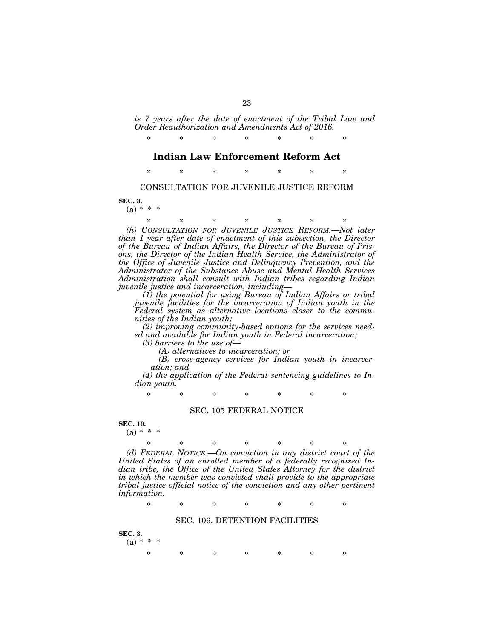*is 7 years after the date of enactment of the Tribal Law and Order Reauthorization and Amendments Act of 2016.* 

# **Indian Law Enforcement Reform Act**

\* \* \* \* \* \* \*

# \* \* \* \* \* \* \* CONSULTATION FOR JUVENILE JUSTICE REFORM

#### **SEC. 3.**

 $(a) * * *$ 

\* \* \* \* \* \* \*

*(h) CONSULTATION FOR JUVENILE JUSTICE REFORM.—Not later than 1 year after date of enactment of this subsection, the Director of the Bureau of Indian Affairs, the Director of the Bureau of Prisons, the Director of the Indian Health Service, the Administrator of the Office of Juvenile Justice and Delinquency Prevention, and the Administrator of the Substance Abuse and Mental Health Services Administration shall consult with Indian tribes regarding Indian juvenile justice and incarceration, including—* 

*(1) the potential for using Bureau of Indian Affairs or tribal juvenile facilities for the incarceration of Indian youth in the Federal system as alternative locations closer to the communities of the Indian youth;* 

*(2) improving community-based options for the services needed and available for Indian youth in Federal incarceration;* 

*(3) barriers to the use of—* 

*(A) alternatives to incarceration; or* 

*(B) cross-agency services for Indian youth in incarceration; and* 

*(4) the application of the Federal sentencing guidelines to Indian youth.* 

\* \* \* \* \* \* \*

# SEC. 105 FEDERAL NOTICE

#### **SEC. 10.**

 $(a) * * *$ 

\* \* \* \* \* \* \*

*(d) FEDERAL NOTICE*.*—On conviction in any district court of the United States of an enrolled member of a federally recognized Indian tribe, the Office of the United States Attorney for the district in which the member was convicted shall provide to the appropriate tribal justice official notice of the conviction and any other pertinent information.* 

\* \* \* \* \* \* \*

# SEC. 106. DETENTION FACILITIES

**SEC. 3.**   $(a) * * *$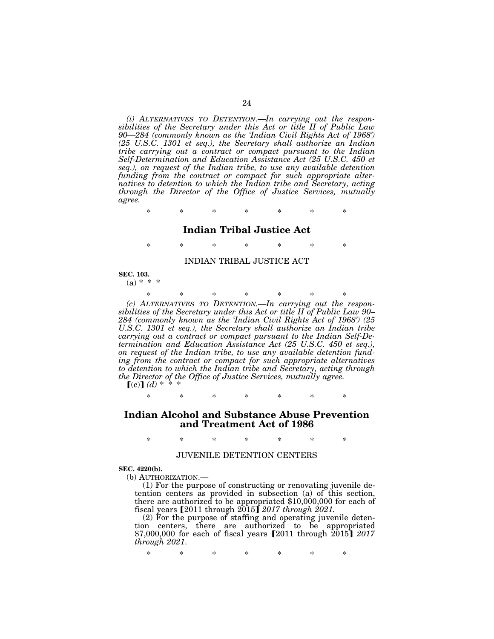*(i) ALTERNATIVES TO DETENTION*.*—In carrying out the responsibilities of the Secretary under this Act or title II of Public Law 90—284 (commonly known as the 'Indian Civil Rights Act of 1968') (25 U.S.C. 1301 et seq.), the Secretary shall authorize an Indian tribe carrying out a contract or compact pursuant to the Indian Self-Determination and Education Assistance Act (25 U.S.C. 450 et seq.), on request of the Indian tribe, to use any available detention funding from the contract or compact for such appropriate alternatives to detention to which the Indian tribe and Secretary, acting through the Director of the Office of Justice Services, mutually agree.* 

\* \* \* \* \* \* \*

# **Indian Tribal Justice Act**

\* \* \* \* \* \* \*

# INDIAN TRIBAL JUSTICE ACT

**SEC. 103.** 

 $(a) * * *$ 

\* \* \* \* \* \* \*

*(c) ALTERNATIVES TO DETENTION.—In carrying out the responsibilities of the Secretary under this Act or title II of Public Law 90– 284 (commonly known as the 'Indian Civil Rights Act of 1968') (25*  U.S.C. 1301 et seq.), the Secretary shall authorize an Indian tribe *carrying out a contract or compact pursuant to the Indian Self-Determination and Education Assistance Act (25 U.S.C. 450 et seq.), on request of the Indian tribe, to use any available detention funding from the contract or compact for such appropriate alternatives to detention to which the Indian tribe and Secretary, acting through the Director of the Office of Justice Services, mutually agree.* 

 $[(c)]$   $(d)$  \*

\* \* \* \* \* \* \*

# **Indian Alcohol and Substance Abuse Prevention and Treatment Act of 1986**

\* \* \* \* \* \* \*

#### JUVENILE DETENTION CENTERS

#### **SEC. 4220(b).**

(b) AUTHORIZATION.—

(1) For the purpose of constructing or renovating juvenile detention centers as provided in subsection (a) of this section, there are authorized to be appropriated \$10,000,000 for each of fiscal years  $[2011$  through  $2015$  $]$   $2017$  through  $2021$ .

(2) For the purpose of staffing and operating juvenile detention centers, there are authorized to be appropriated \$7,000,000 for each of fiscal years [2011 through 2015] 2017 *through 2021*.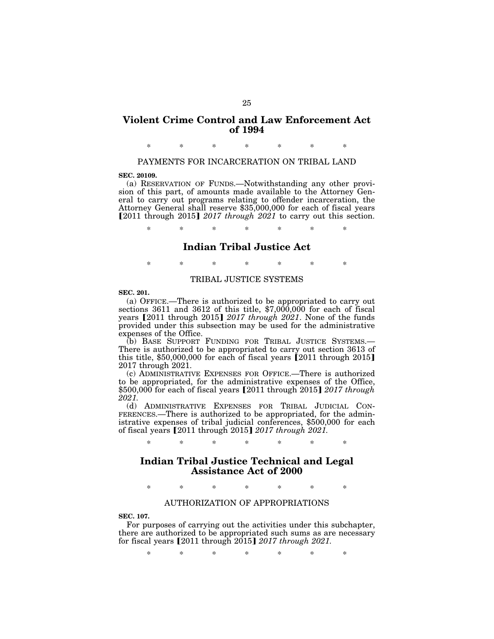# **Violent Crime Control and Law Enforcement Act of 1994**

\* \* \* \* \* \* \*

# PAYMENTS FOR INCARCERATION ON TRIBAL LAND

#### **SEC. 20109.**

(a) RESERVATION OF FUNDS.—Notwithstanding any other provision of this part, of amounts made available to the Attorney General to carry out programs relating to offender incarceration, the Attorney General shall reserve \$35,000,000 for each of fiscal years  $[2011$  through 2015] 2017 through 2021 to carry out this section.

\* \* \* \* \* \* \*

# **Indian Tribal Justice Act**

\* \* \* \* \* \* \*

# TRIBAL JUSTICE SYSTEMS

**SEC. 201.** 

(a) OFFICE.—There is authorized to be appropriated to carry out sections  $3611$  and  $3612$  of this title,  $$7,000,000$  for each of fiscal years [2011 through 2015] 2017 through 2021. None of the funds provided under this subsection may be used for the administrative expenses of the Office.

(b) BASE SUPPORT FUNDING FOR TRIBAL JUSTICE SYSTEMS.— There is authorized to be appropriated to carry out section 3613 of this title, \$50,000,000 for each of fiscal years  $[2011$  through 2015] 2017 through 2021.

(c) ADMINISTRATIVE EXPENSES FOR OFFICE.—There is authorized to be appropriated, for the administrative expenses of the Office, \$500,000 for each of fiscal years [2011 through 2015] 2017 through *2021.* 

(d) ADMINISTRATIVE EXPENSES FOR TRIBAL JUDICIAL CON-FERENCES.—There is authorized to be appropriated, for the administrative expenses of tribal judicial conferences, \$500,000 for each of fiscal years [2011 through 2015] 2017 through 2021.

# \* \* \* \* \* \* \*

# **Indian Tribal Justice Technical and Legal Assistance Act of 2000**

\* \* \* \* \* \* \*

# AUTHORIZATION OF APPROPRIATIONS

**SEC. 107.** 

For purposes of carrying out the activities under this subchapter, there are authorized to be appropriated such sums as are necessary for fiscal years [2011 through 2015] 2017 through 2021.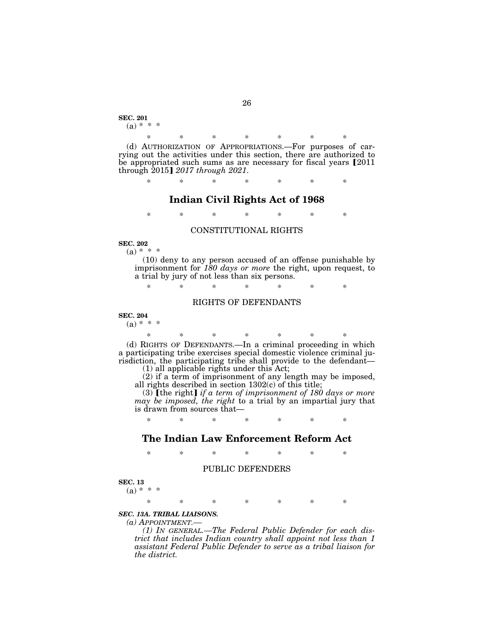**SEC. 201**   $(a) * * *$ 

\* \* \* \* \* \* \* (d) AUTHORIZATION OF APPROPRIATIONS.—For purposes of carrying out the activities under this section, there are authorized to be appropriated such sums as are necessary for fiscal years [2011] through 2015¿ *2017 through 2021*.

\* \* \* \* \* \* \*

# **Indian Civil Rights Act of 1968**

\* \* \* \* \* \* \*

# CONSTITUTIONAL RIGHTS

**SEC. 202** 

 $(a) * * *$ 

(10) deny to any person accused of an offense punishable by imprisonment for *180 days or more* the right, upon request, to a trial by jury of not less than six persons.

\* \* \* \* \* \* \*

# RIGHTS OF DEFENDANTS

# **SEC. 204**

 $(a) * * * *$ 

\* \* \* \* \* \* \* (d) RIGHTS OF DEFENDANTS.—In a criminal proceeding in which a participating tribe exercises special domestic violence criminal jurisdiction, the participating tribe shall provide to the defendant— (1) all applicable rights under this Act;

(2) if a term of imprisonment of any length may be imposed, all rights described in section 1302(c) of this title;

 $(3)$  [the right] *if a term of imprisonment of 180 days or more may be imposed, the right* to a trial by an impartial jury that is drawn from sources that—

\* \* \* \* \* \* \*

# **The Indian Law Enforcement Reform Act**

\* \* \* \* \* \* \*

#### PUBLIC DEFENDERS

**SEC. 13**   $(a) * * *$ 

\* \* \* \* \* \* \*

# *SEC. 13A. TRIBAL LIAISONS.*

*(a) APPOINTMENT.—* 

*(1) IN GENERAL.—The Federal Public Defender for each district that includes Indian country shall appoint not less than 1 assistant Federal Public Defender to serve as a tribal liaison for the district.*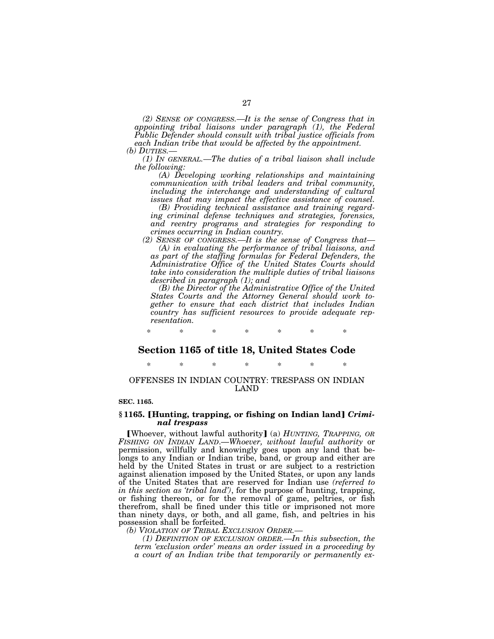*(2) SENSE OF CONGRESS.—It is the sense of Congress that in appointing tribal liaisons under paragraph (1), the Federal Public Defender should consult with tribal justice officials from each Indian tribe that would be affected by the appointment.* 

*(b) DUTIES.— (1) IN GENERAL.—The duties of a tribal liaison shall include the following:* 

*(A) Developing working relationships and maintaining communication with tribal leaders and tribal community, including the interchange and understanding of cultural issues that may impact the effective assistance of counsel.* 

*(B) Providing technical assistance and training regarding criminal defense techniques and strategies, forensics, and reentry programs and strategies for responding to crimes occurring in Indian country.* 

*(2) SENSE OF CONGRESS.—It is the sense of Congress that— (A) in evaluating the performance of tribal liaisons, and as part of the staffing formulas for Federal Defenders, the Administrative Office of the United States Courts should take into consideration the multiple duties of tribal liaisons described in paragraph (1); and* 

*(B) the Director of the Administrative Office of the United States Courts and the Attorney General should work together to ensure that each district that includes Indian country has sufficient resources to provide adequate representation.* 

\* \* \* \* \* \* \*

# **Section 1165 of title 18, United States Code**

\* \* \* \* \* \* \* OFFENSES IN INDIAN COUNTRY: TRESPASS ON INDIAN LAND

#### **SEC. 1165.**

# §1165. [Hunting, trapping, or fishing on Indian land] *Criminal trespass*

**[Whoever, without lawful authority]** (a) *HUNTING, TRAPPING, OR FISHING ON INDIAN LAND*.—*Whoever, without lawful authority* or permission, willfully and knowingly goes upon any land that belongs to any Indian or Indian tribe, band, or group and either are held by the United States in trust or are subject to a restriction against alienation imposed by the United States, or upon any lands of the United States that are reserved for Indian use *(referred to in this section as 'tribal land')*, for the purpose of hunting, trapping, or fishing thereon, or for the removal of game, peltries, or fish therefrom, shall be fined under this title or imprisoned not more than ninety days, or both, and all game, fish, and peltries in his possession shall be forfeited.

*(b) VIOLATION OF TRIBAL EXCLUSION ORDER.—* 

*(1) DEFINITION OF EXCLUSION ORDER.—In this subsection, the term 'exclusion order' means an order issued in a proceeding by a court of an Indian tribe that temporarily or permanently ex-*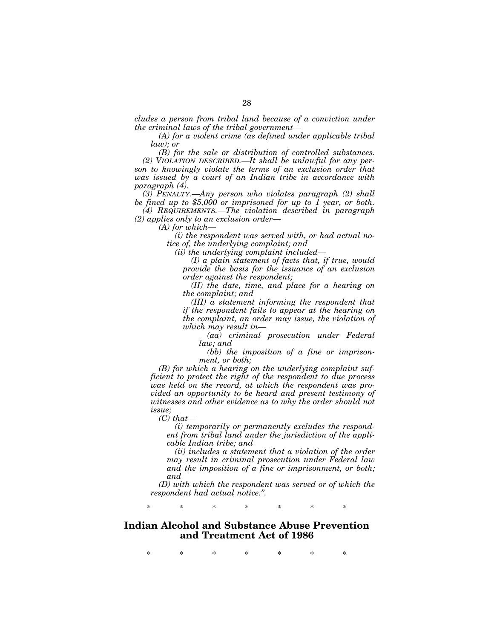*cludes a person from tribal land because of a conviction under the criminal laws of the tribal government—* 

*(A) for a violent crime (as defined under applicable tribal law); or* 

*(B) for the sale or distribution of controlled substances. (2) VIOLATION DESCRIBED.—It shall be unlawful for any person to knowingly violate the terms of an exclusion order that was issued by a court of an Indian tribe in accordance with paragraph (4).* 

*(3) PENALTY.—Any person who violates paragraph (2) shall be fined up to \$5,000 or imprisoned for up to 1 year, or both.* 

*(4) REQUIREMENTS.—The violation described in paragraph (2) applies only to an exclusion order—* 

*(A) for which—* 

*(i) the respondent was served with, or had actual notice of, the underlying complaint; and* 

*(ii) the underlying complaint included—* 

*(I) a plain statement of facts that, if true, would provide the basis for the issuance of an exclusion order against the respondent;* 

*(II) the date, time, and place for a hearing on the complaint; and* 

*(III) a statement informing the respondent that if the respondent fails to appear at the hearing on the complaint, an order may issue, the violation of which may result in—* 

*(aa) criminal prosecution under Federal law; and* 

*(bb) the imposition of a fine or imprisonment, or both;* 

*(B) for which a hearing on the underlying complaint sufficient to protect the right of the respondent to due process was held on the record, at which the respondent was provided an opportunity to be heard and present testimony of witnesses and other evidence as to why the order should not issue;* 

 $(C)$  that—

*(i) temporarily or permanently excludes the respondent from tribal land under the jurisdiction of the applicable Indian tribe; and* 

*(ii) includes a statement that a violation of the order may result in criminal prosecution under Federal law and the imposition of a fine or imprisonment, or both; and* 

*(D) with which the respondent was served or of which the respondent had actual notice.''.* 

\* \* \* \* \* \* \*

# **Indian Alcohol and Substance Abuse Prevention and Treatment Act of 1986**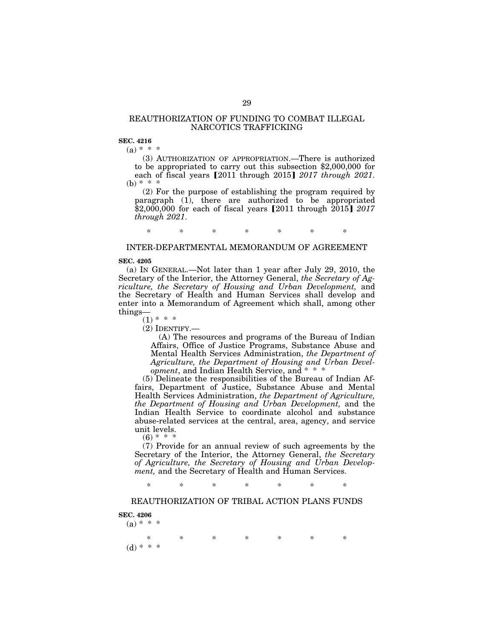# REAUTHORIZATION OF FUNDING TO COMBAT ILLEGAL NARCOTICS TRAFFICKING

#### **SEC. 4216**

 $(a) * * *$ 

(3) AUTHORIZATION OF APPROPRIATION.—There is authorized to be appropriated to carry out this subsection \$2,000,000 for each of fiscal years [2011 through 2015] 2017 through 2021.  $(b) * * * *$ 

(2) For the purpose of establishing the program required by paragraph (1), there are authorized to be appropriated  $$2,000,000$  for each of fiscal years  $[2011$  through  $\overline{2015}$   $2017$ *through 2021*.

# \* \* \* \* \* \* \*

#### INTER-DEPARTMENTAL MEMORANDUM OF AGREEMENT

#### **SEC. 4205**

(a) IN GENERAL.—Not later than 1 year after July 29, 2010, the Secretary of the Interior, the Attorney General, *the Secretary of Agriculture, the Secretary of Housing and Urban Development,* and the Secretary of Health and Human Services shall develop and enter into a Memorandum of Agreement which shall, among other things—

 $(1) * * *$ 

(2) IDENTIFY.—

(A) The resources and programs of the Bureau of Indian Affairs, Office of Justice Programs, Substance Abuse and Mental Health Services Administration, *the Department of Agriculture, the Department of Housing and Urban Development*, and Indian Health Service, and \* \* \*

(5) Delineate the responsibilities of the Bureau of Indian Affairs, Department of Justice, Substance Abuse and Mental Health Services Administration, *the Department of Agriculture, the Department of Housing and Urban Development,* and the Indian Health Service to coordinate alcohol and substance abuse-related services at the central, area, agency, and service unit levels.

 $(6)$  \* \* \*

(7) Provide for an annual review of such agreements by the Secretary of the Interior, the Attorney General, *the Secretary of Agriculture, the Secretary of Housing and Urban Development,* and the Secretary of Health and Human Services.

\* \* \* \* \* \* \*

# REAUTHORIZATION OF TRIBAL ACTION PLANS FUNDS

#### **SEC. 4206**

 $(a) * * * *$ 

\* \* \* \* \* \* \*  $(d) * * * *$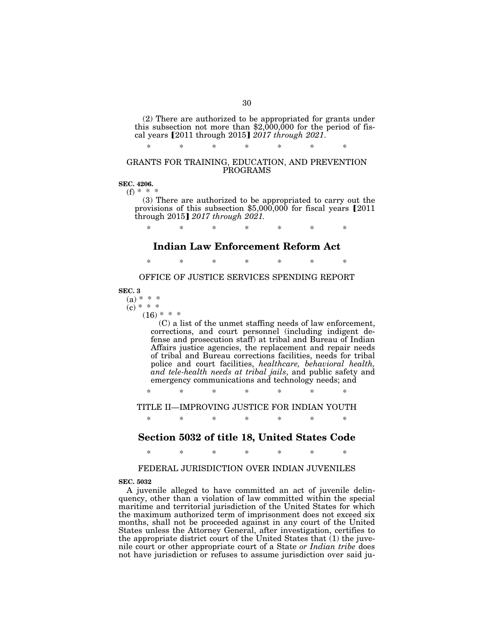(2) There are authorized to be appropriated for grants under this subsection not more than \$2,000,000 for the period of fiscal years [2011 through 2015] 2017 through 2021.

## GRANTS FOR TRAINING, EDUCATION, AND PREVENTION PROGRAMS

\* \* \* \* \* \* \*

#### **SEC. 4206.**

 $(f) * * * *$ 

(3) There are authorized to be appropriated to carry out the provisions of this subsection  $$5,000,000$  for fiscal years [2011 through 2015¿ *2017 through 2021.* 

\* \* \* \* \* \* \*

# **Indian Law Enforcement Reform Act**

# \* \* \* \* \* \* \*

# OFFICE OF JUSTICE SERVICES SPENDING REPORT

#### **SEC. 3**

 $(a) * * *$  $(c) * * *$  $(16) * * *$ 

> (C) a list of the unmet staffing needs of law enforcement, corrections, and court personnel (including indigent defense and prosecution staff) at tribal and Bureau of Indian Affairs justice agencies, the replacement and repair needs of tribal and Bureau corrections facilities, needs for tribal police and court facilities, *healthcare, behavioral health, and tele-health needs at tribal jails*, and public safety and emergency communications and technology needs; and

\* \* \* \* \* \* \*

TITLE II—IMPROVING JUSTICE FOR INDIAN YOUTH

\* \* \* \* \* \* \*

# **Section 5032 of title 18, United States Code**

\* \* \* \* \* \* \*

# FEDERAL JURISDICTION OVER INDIAN JUVENILES

#### **SEC. 5032**

A juvenile alleged to have committed an act of juvenile delinquency, other than a violation of law committed within the special maritime and territorial jurisdiction of the United States for which the maximum authorized term of imprisonment does not exceed six months, shall not be proceeded against in any court of the United States unless the Attorney General, after investigation, certifies to the appropriate district court of the United States that (1) the juvenile court or other appropriate court of a State *or Indian tribe* does not have jurisdiction or refuses to assume jurisdiction over said ju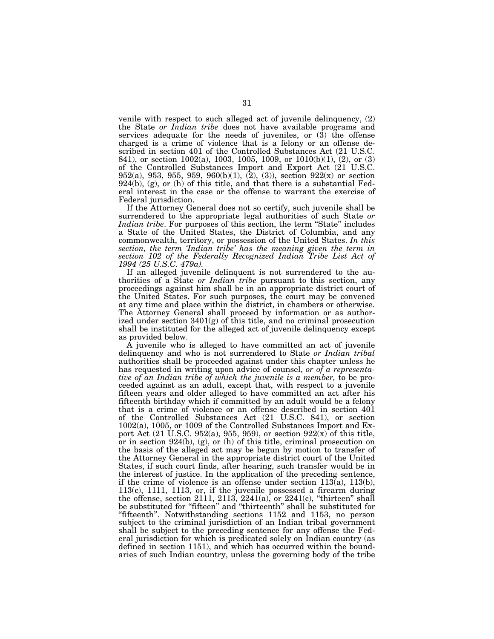venile with respect to such alleged act of juvenile delinquency, (2) the State *or Indian tribe* does not have available programs and services adequate for the needs of juveniles, or (3) the offense charged is a crime of violence that is a felony or an offense described in section 401 of the Controlled Substances Act (21 U.S.C. 841), or section 1002(a), 1003, 1005, 1009, or 1010(b)(1), (2), or (3) of the Controlled Substances Import and Export Act (21 U.S.C.  $952(a)$ ,  $953$ ,  $955$ ,  $959$ ,  $960(b)(1)$ ,  $(2)$ ,  $(3)$ ), section  $922(x)$  or section 924(b), (g), or (h) of this title, and that there is a substantial Federal interest in the case or the offense to warrant the exercise of Federal jurisdiction.

If the Attorney General does not so certify, such juvenile shall be surrendered to the appropriate legal authorities of such State *or*  Indian tribe. For purposes of this section, the term "State" includes a State of the United States, the District of Columbia, and any commonwealth, territory, or possession of the United States. *In this section, the term 'Indian tribe' has the meaning given the term in section 102 of the Federally Recognized Indian Tribe List Act of 1994 (25 U.S.C. 479a).* 

If an alleged juvenile delinquent is not surrendered to the authorities of a State *or Indian tribe* pursuant to this section, any proceedings against him shall be in an appropriate district court of the United States. For such purposes, the court may be convened at any time and place within the district, in chambers or otherwise. The Attorney General shall proceed by information or as authorized under section  $3401(g)$  of this title, and no criminal prosecution shall be instituted for the alleged act of juvenile delinquency except as provided below.

A juvenile who is alleged to have committed an act of juvenile delinquency and who is not surrendered to State *or Indian tribal*  authorities shall be proceeded against under this chapter unless he has requested in writing upon advice of counsel, *or of a representative of an Indian tribe of which the juvenile is a member,* to be proceeded against as an adult, except that, with respect to a juvenile fifteen years and older alleged to have committed an act after his fifteenth birthday which if committed by an adult would be a felony that is a crime of violence or an offense described in section 401 of the Controlled Substances Act (21 U.S.C. 841), or section 1002(a), 1005, or 1009 of the Controlled Substances Import and Export Act (21 U.S.C. 952(a), 955, 959), or section  $922(x)$  of this title, or in section 924(b), (g), or (h) of this title, criminal prosecution on the basis of the alleged act may be begun by motion to transfer of the Attorney General in the appropriate district court of the United States, if such court finds, after hearing, such transfer would be in the interest of justice. In the application of the preceding sentence, if the crime of violence is an offense under section  $113(a)$ ,  $113(b)$ , 113(c), 1111, 1113, or, if the juvenile possessed a firearm during the offense, section 2111, 2113, 2241(a), or 2241(c), ''thirteen'' shall be substituted for ''fifteen'' and ''thirteenth'' shall be substituted for "fifteenth". Notwithstanding sections 1152 and 1153, no person subject to the criminal jurisdiction of an Indian tribal government shall be subject to the preceding sentence for any offense the Federal jurisdiction for which is predicated solely on Indian country (as defined in section 1151), and which has occurred within the boundaries of such Indian country, unless the governing body of the tribe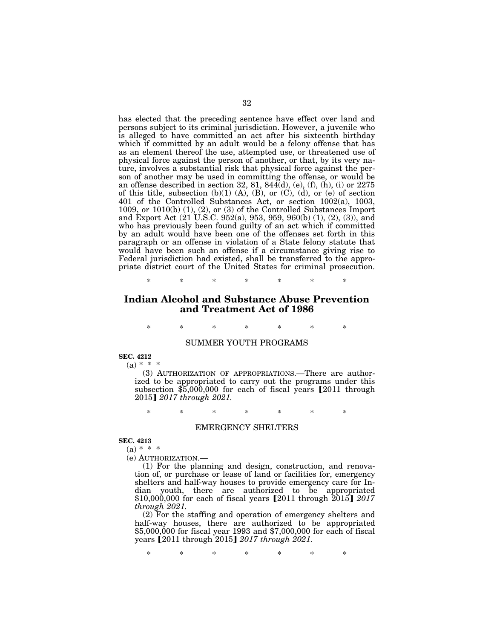has elected that the preceding sentence have effect over land and persons subject to its criminal jurisdiction. However, a juvenile who is alleged to have committed an act after his sixteenth birthday which if committed by an adult would be a felony offense that has as an element thereof the use, attempted use, or threatened use of physical force against the person of another, or that, by its very nature, involves a substantial risk that physical force against the person of another may be used in committing the offense, or would be an offense described in section 32, 81,  $84\overline{4}$ (d), (e), (f), (h), (i) or 2275 of this title, subsection  $(b)(1)$   $(A)$ ,  $(B)$ , or  $(C)$ ,  $(d)$ , or  $(e)$  of section 401 of the Controlled Substances Act, or section 1002(a), 1003, 1009, or 1010(b) (1), (2), or (3) of the Controlled Substances Import and Export Act (21 U.S.C. 952(a), 953, 959, 960(b) (1), (2), (3)), and who has previously been found guilty of an act which if committed by an adult would have been one of the offenses set forth in this paragraph or an offense in violation of a State felony statute that would have been such an offense if a circumstance giving rise to Federal jurisdiction had existed, shall be transferred to the appropriate district court of the United States for criminal prosecution.

\* \* \* \* \* \* \*

# **Indian Alcohol and Substance Abuse Prevention and Treatment Act of 1986**

\* \* \* \* \* \* \*

# SUMMER YOUTH PROGRAMS

#### **SEC. 4212**

 $(a) * *$ 

(3) AUTHORIZATION OF APPROPRIATIONS.—There are authorized to be appropriated to carry out the programs under this subsection  $$5,000,000$  for each of fiscal years [2011 through 2015¿ *2017 through 2021.* 

\* \* \* \* \* \* \*

#### EMERGENCY SHELTERS

# **SEC. 4213**

 $(a) * * *$ 

(e) AUTHORIZATION.—

(1) For the planning and design, construction, and renovation of, or purchase or lease of land or facilities for, emergency shelters and half-way houses to provide emergency care for Indian youth, there are authorized to be appropriated \$10,000,000 for each of fiscal years [2011 through 2015] 2017 *through 2021.* 

(2) For the staffing and operation of emergency shelters and half-way houses, there are authorized to be appropriated \$5,000,000 for fiscal year 1993 and \$7,000,000 for each of fiscal years [2011 through 2015] 2017 through 2021.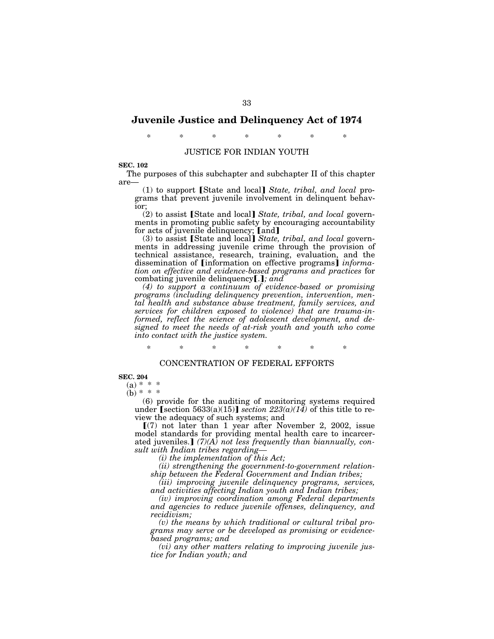# **Juvenile Justice and Delinquency Act of 1974**

\* \* \* \* \* \* \*

# JUSTICE FOR INDIAN YOUTH

#### **SEC. 102**

The purposes of this subchapter and subchapter II of this chapter are—

(1) to support [State and local] *State, tribal, and local* programs that prevent juvenile involvement in delinquent behavior;

(2) to assist [State and local] *State, tribal, and local* governments in promoting public safety by encouraging accountability for acts of juvenile delinquency; [and]

(3) to assist [State and local] State, tribal, and local governments in addressing juvenile crime through the provision of technical assistance, research, training, evaluation, and the dissemination of [information on effective programs] *information on effective and evidence-based programs and practices* for combating juvenile delinquency[.]; and

*(4) to support a continuum of evidence-based or promising programs (including delinquency prevention, intervention, mental health and substance abuse treatment, family services, and services for children exposed to violence) that are trauma-informed, reflect the science of adolescent development, and designed to meet the needs of at-risk youth and youth who come into contact with the justice system.* 

# \* \* \* \* \* \* \* CONCENTRATION OF FEDERAL EFFORTS

#### **SEC. 204**

 $(a) * * *$ 

(b) \* \* \*

(6) provide for the auditing of monitoring systems required under [section 5633(a)(15)] *section 223(a)(14)* of this title to review the adequacy of such systems; and

 $[(7)$  not later than 1 year after November 2, 2002, issue model standards for providing mental health care to incarcerated juveniles.] (7)(A) not less frequently than biannually, con*sult with Indian tribes regarding—* 

*(i) the implementation of this Act;* 

*(ii) strengthening the government-to-government relationship between the Federal Government and Indian tribes;* 

*(iii) improving juvenile delinquency programs, services, and activities affecting Indian youth and Indian tribes;* 

*(iv) improving coordination among Federal departments and agencies to reduce juvenile offenses, delinquency, and recidivism;* 

*(v) the means by which traditional or cultural tribal programs may serve or be developed as promising or evidencebased programs; and* 

*(vi) any other matters relating to improving juvenile justice for Indian youth; and*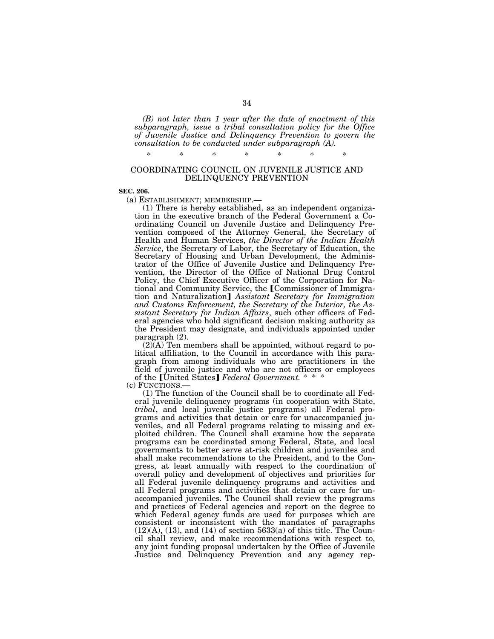*(B) not later than 1 year after the date of enactment of this subparagraph, issue a tribal consultation policy for the Office of Juvenile Justice and Delinquency Prevention to govern the consultation to be conducted under subparagraph (A).* 

# COORDINATING COUNCIL ON JUVENILE JUSTICE AND DELINQUENCY PREVENTION

\* \* \* \* \* \* \*

#### **SEC. 206.**

(a) ESTABLISHMENT; MEMBERSHIP.— (1) There is hereby established, as an independent organization in the executive branch of the Federal Government a Coordinating Council on Juvenile Justice and Delinquency Prevention composed of the Attorney General, the Secretary of Health and Human Services, *the Director of the Indian Health Service*, the Secretary of Labor, the Secretary of Education, the Secretary of Housing and Urban Development, the Administrator of the Office of Juvenile Justice and Delinquency Prevention, the Director of the Office of National Drug Control Policy, the Chief Executive Officer of the Corporation for National and Community Service, the [Commissioner of Immigration and Naturalization] Assistant Secretary for Immigration *and Customs Enforcement, the Secretary of the Interior, the Assistant Secretary for Indian Affairs*, such other officers of Federal agencies who hold significant decision making authority as the President may designate, and individuals appointed under paragraph (2).

 $(2)$  $(A)$  Ten members shall be appointed, without regard to political affiliation, to the Council in accordance with this paragraph from among individuals who are practitioners in the field of juvenile justice and who are not officers or employees of the [United States] Federal Government. \* \* \*

(c) FUNCTIONS.—

(1) The function of the Council shall be to coordinate all Federal juvenile delinquency programs (in cooperation with State, *tribal*, and local juvenile justice programs) all Federal programs and activities that detain or care for unaccompanied juveniles, and all Federal programs relating to missing and exploited children. The Council shall examine how the separate programs can be coordinated among Federal, State, and local governments to better serve at-risk children and juveniles and shall make recommendations to the President, and to the Congress, at least annually with respect to the coordination of overall policy and development of objectives and priorities for all Federal juvenile delinquency programs and activities and all Federal programs and activities that detain or care for unaccompanied juveniles. The Council shall review the programs and practices of Federal agencies and report on the degree to which Federal agency funds are used for purposes which are consistent or inconsistent with the mandates of paragraphs  $(12)(A)$ ,  $(13)$ , and  $(14)$  of section 5633 $(a)$  of this title. The Council shall review, and make recommendations with respect to, any joint funding proposal undertaken by the Office of Juvenile Justice and Delinquency Prevention and any agency rep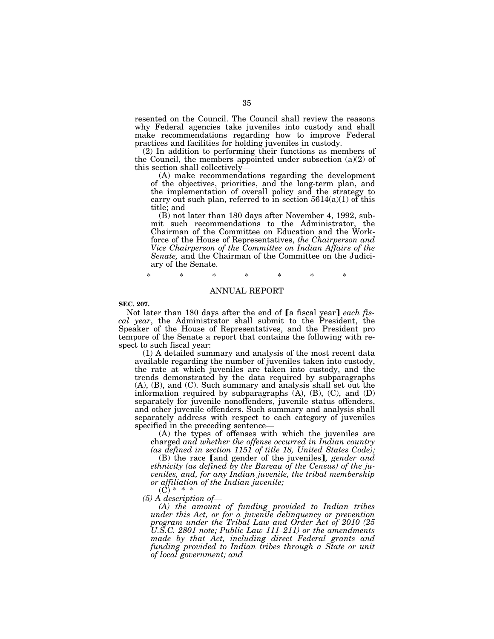resented on the Council. The Council shall review the reasons why Federal agencies take juveniles into custody and shall make recommendations regarding how to improve Federal practices and facilities for holding juveniles in custody.

(2) In addition to performing their functions as members of the Council, the members appointed under subsection (a)(2) of this section shall collectively—

(A) make recommendations regarding the development of the objectives, priorities, and the long-term plan, and the implementation of overall policy and the strategy to carry out such plan, referred to in section  $5614(a)(1)$  of this title; and

(B) not later than 180 days after November 4, 1992, submit such recommendations to the Administrator, the Chairman of the Committee on Education and the Workforce of the House of Representatives, *the Chairperson and Vice Chairperson of the Committee on Indian Affairs of the Senate,* and the Chairman of the Committee on the Judiciary of the Senate.

\* \* \* \* \* \* \*

# ANNUAL REPORT

#### **SEC. 207.**

Not later than 180 days after the end of **[a** fiscal year**]** each fis*cal year*, the Administrator shall submit to the President, the Speaker of the House of Representatives, and the President pro tempore of the Senate a report that contains the following with respect to such fiscal year:

(1) A detailed summary and analysis of the most recent data available regarding the number of juveniles taken into custody, the rate at which juveniles are taken into custody, and the trends demonstrated by the data required by subparagraphs (A), (B), and (C). Such summary and analysis shall set out the information required by subparagraphs  $(A)$ ,  $(B)$ ,  $(C)$ , and  $(D)$ separately for juvenile nonoffenders, juvenile status offenders, and other juvenile offenders. Such summary and analysis shall separately address with respect to each category of juveniles specified in the preceding sentence—

(A) the types of offenses with which the juveniles are charged *and whether the offense occurred in Indian country (as defined in section 1151 of title 18, United States Code);* 

(B) the race [and gender of the juveniles], gender and *ethnicity (as defined by the Bureau of the Census) of the juveniles, and, for any Indian juvenile, the tribal membership or affiliation of the Indian juvenile;* 

 $(C)$  \* \* \*

*(5) A description of—* 

*(A) the amount of funding provided to Indian tribes under this Act, or for a juvenile delinquency or prevention program under the Tribal Law and Order Act of 2010 (25 U.S.C. 2801 note; Public Law 111–211) or the amendments made by that Act, including direct Federal grants and funding provided to Indian tribes through a State or unit of local government; and*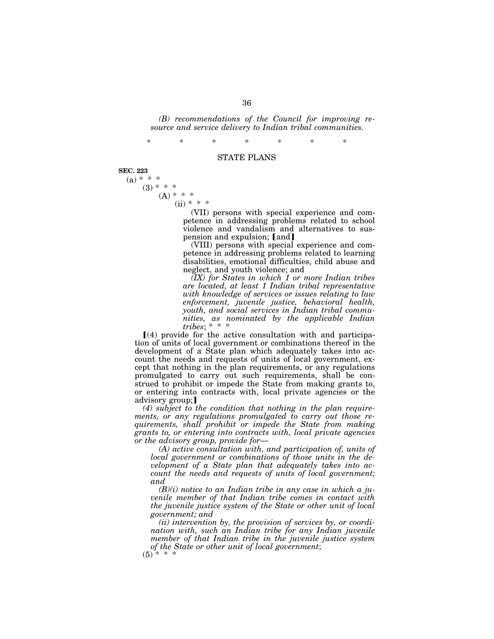*(B) recommendations of the Council for improving resource and service delivery to Indian tribal communities.* 

# \* \* \* \* \* \* \* STATE PLANS

**SEC. 223** 

 $(a) * * *$  $(3) * * * *$  $(A) * * * *$ 

 $(ii) * * * *$ 

(VII) persons with special experience and competence in addressing problems related to school violence and vandalism and alternatives to suspension and expulsion; [and]

(VIII) persons with special experience and competence in addressing problems related to learning disabilities, emotional difficulties, child abuse and neglect, and youth violence; and

*(IX) for States in which 1 or more Indian tribes are located, at least 1 Indian tribal representative with knowledge of services or issues relating to law enforcement, juvenile justice, behavioral health, youth, and social services in Indian tribal communities, as nominated by the applicable Indian tribes*; \* \* \*

 $(4)$  provide for the active consultation with and participation of units of local government or combinations thereof in the development of a State plan which adequately takes into account the needs and requests of units of local government, except that nothing in the plan requirements, or any regulations promulgated to carry out such requirements, shall be construed to prohibit or impede the State from making grants to, or entering into contracts with, local private agencies or the advisory group;

*(4) subject to the condition that nothing in the plan requirements, or any regulations promulgated to carry out those requirements, shall prohibit or impede the State from making grants to, or entering into contracts with, local private agencies or the advisory group, provide for*—

*(A) active consultation with, and participation of, units of local government or combinations of those units in the development of a State plan that adequately takes into account the needs and requests of units of local government; and* 

*(B)(i) notice to an Indian tribe in any case in which a juvenile member of that Indian tribe comes in contact with the juvenile justice system of the State or other unit of local government; and* 

*(ii) intervention by, the provision of services by, or coordination with, such an Indian tribe for any Indian juvenile member of that Indian tribe in the juvenile justice system of the State or other unit of local government*;  $(5)^{*}$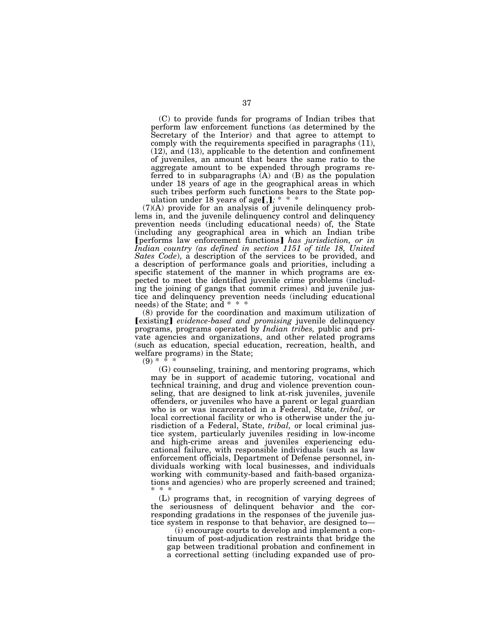(C) to provide funds for programs of Indian tribes that perform law enforcement functions (as determined by the Secretary of the Interior) and that agree to attempt to comply with the requirements specified in paragraphs  $(11)$ , (12), and (13), applicable to the detention and confinement of juveniles, an amount that bears the same ratio to the aggregate amount to be expended through programs referred to in subparagraphs  $(A)$  and  $(B)$  as the population under 18 years of age in the geographical areas in which such tribes perform such functions bears to the State population under 18 years of age $[i]$ ;  $* * * *$ 

(7)(A) provide for an analysis of juvenile delinquency problems in, and the juvenile delinquency control and delinquency prevention needs (including educational needs) of, the State (including any geographical area in which an Indian tribe øperforms law enforcement functions¿ *has jurisdiction, or in Indian country (as defined in section 1151 of title 18, United Sates Code*), a description of the services to be provided, and a description of performance goals and priorities, including a specific statement of the manner in which programs are expected to meet the identified juvenile crime problems (including the joining of gangs that commit crimes) and juvenile justice and delinquency prevention needs (including educational needs) of the State; and \* \* \*

(8) provide for the coordination and maximum utilization of *existing evidence-based and promising juvenile delinquency* programs, programs operated by *Indian tribes,* public and private agencies and organizations, and other related programs (such as education, special education, recreation, health, and welfare programs) in the State;

 $(9) * * * *$ 

(G) counseling, training, and mentoring programs, which may be in support of academic tutoring, vocational and technical training, and drug and violence prevention counseling, that are designed to link at-risk juveniles, juvenile offenders, or juveniles who have a parent or legal guardian who is or was incarcerated in a Federal, State, *tribal,* or local correctional facility or who is otherwise under the jurisdiction of a Federal, State, *tribal*, or local criminal justice system, particularly juveniles residing in low-income and high-crime areas and juveniles experiencing educational failure, with responsible individuals (such as law enforcement officials, Department of Defense personnel, individuals working with local businesses, and individuals working with community-based and faith-based organizations and agencies) who are properly screened and trained; \* \* \*

(L) programs that, in recognition of varying degrees of the seriousness of delinquent behavior and the corresponding gradations in the responses of the juvenile justice system in response to that behavior, are designed to—

(i) encourage courts to develop and implement a continuum of post-adjudication restraints that bridge the gap between traditional probation and confinement in a correctional setting (including expanded use of pro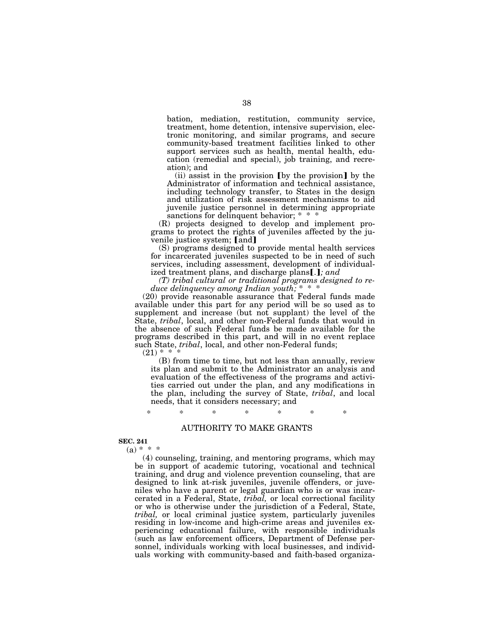bation, mediation, restitution, community service, treatment, home detention, intensive supervision, electronic monitoring, and similar programs, and secure community-based treatment facilities linked to other support services such as health, mental health, education (remedial and special), job training, and recreation); and

(ii) assist in the provision  $[$  by the provision  $]$  by the Administrator of information and technical assistance, including technology transfer, to States in the design and utilization of risk assessment mechanisms to aid juvenile justice personnel in determining appropriate sanctions for delinquent behavior; \* \* \*

(R) projects designed to develop and implement programs to protect the rights of juveniles affected by the juvenile justice system; [and]

(S) programs designed to provide mental health services for incarcerated juveniles suspected to be in need of such services, including assessment, development of individualized treatment plans, and discharge plans [.**]**; and

*(T) tribal cultural or traditional programs designed to reduce delinquency among Indian youth;* \* \* \*

(20) provide reasonable assurance that Federal funds made available under this part for any period will be so used as to supplement and increase (but not supplant) the level of the State, *tribal*, local, and other non-Federal funds that would in the absence of such Federal funds be made available for the programs described in this part, and will in no event replace such State, *tribal*, local, and other non-Federal funds;  $(21) * * *$ 

(B) from time to time, but not less than annually, review its plan and submit to the Administrator an analysis and evaluation of the effectiveness of the programs and activities carried out under the plan, and any modifications in the plan, including the survey of State, *tribal*, and local needs, that it considers necessary; and

\* \* \* \* \* \* \*

#### AUTHORITY TO MAKE GRANTS

# **SEC. 241**  $(0)$   $*$   $*$   $*$

 $(a)$   $*$ 

(4) counseling, training, and mentoring programs, which may be in support of academic tutoring, vocational and technical training, and drug and violence prevention counseling, that are designed to link at-risk juveniles, juvenile offenders, or juveniles who have a parent or legal guardian who is or was incarcerated in a Federal, State, *tribal,* or local correctional facility or who is otherwise under the jurisdiction of a Federal, State, *tribal,* or local criminal justice system, particularly juveniles residing in low-income and high-crime areas and juveniles experiencing educational failure, with responsible individuals (such as law enforcement officers, Department of Defense personnel, individuals working with local businesses, and individuals working with community-based and faith-based organiza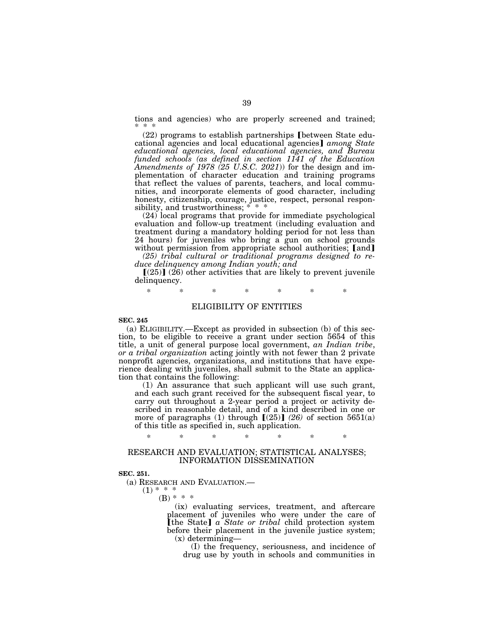tions and agencies) who are properly screened and trained; \* \* \*

 $(22)$  programs to establish partnerships [between State educational agencies and local educational agencies] among State *educational agencies, local educational agencies, and Bureau funded schools (as defined in section 1141 of the Education Amendments of 1978 (25 U.S.C. 2021*)) for the design and implementation of character education and training programs that reflect the values of parents, teachers, and local communities, and incorporate elements of good character, including honesty, citizenship, courage, justice, respect, personal responsibility, and trustworthiness; \* \* \*

(24) local programs that provide for immediate psychological evaluation and follow-up treatment (including evaluation and treatment during a mandatory holding period for not less than 24 hours) for juveniles who bring a gun on school grounds without permission from appropriate school authorities; [and]

*(25) tribal cultural or traditional programs designed to reduce delinquency among Indian youth; and* 

 $\lceil (25) \rceil$  (26) other activities that are likely to prevent juvenile delinquency.

\* \* \* \* \* \* \*

# ELIGIBILITY OF ENTITIES

#### **SEC. 245**

(a) ELIGIBILITY.—Except as provided in subsection (b) of this section, to be eligible to receive a grant under section 5654 of this title, a unit of general purpose local government, *an Indian tribe*, *or a tribal organization* acting jointly with not fewer than 2 private nonprofit agencies, organizations, and institutions that have experience dealing with juveniles, shall submit to the State an application that contains the following:

(1) An assurance that such applicant will use such grant, and each such grant received for the subsequent fiscal year, to carry out throughout a 2-year period a project or activity described in reasonable detail, and of a kind described in one or more of paragraphs (1) through  $[(25)]$  (26) of section 5651(a) of this title as specified in, such application.

# \* \* \* \* \* \* \* RESEARCH AND EVALUATION; STATISTICAL ANALYSES; INFORMATION DISSEMINATION

**SEC. 251.** 

(a) RESEARCH AND EVALUATION.—

 $(1) * * * *$  $(B) * * * *$ 

> (ix) evaluating services, treatment, and aftercare placement of juveniles who were under the care of [the State] *a State or tribal* child protection system before their placement in the juvenile justice system; (x) determining—

(I) the frequency, seriousness, and incidence of drug use by youth in schools and communities in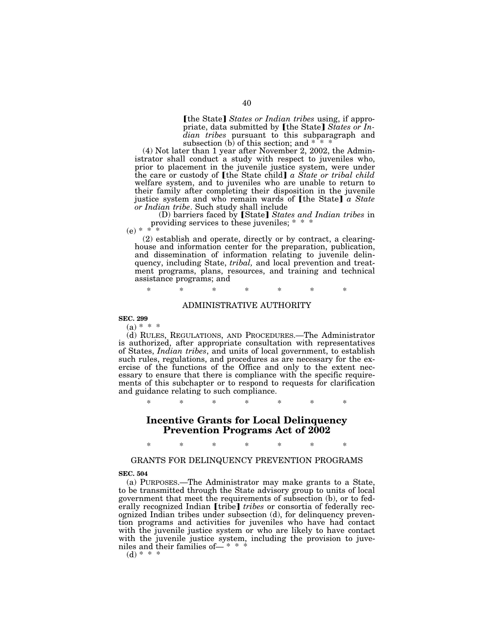**[the State]** *States or Indian tribes* using, if appropriate, data submitted by [the State] States or In*dian tribes* pursuant to this subparagraph and subsection (b) of this section; and  $*^*$ 

(4) Not later than 1 year after November 2, 2002, the Administrator shall conduct a study with respect to juveniles who, prior to placement in the juvenile justice system, were under the care or custody of [the State child] *a State or tribal child* welfare system, and to juveniles who are unable to return to their family after completing their disposition in the juvenile justice system and who remain wards of [the State] a State *or Indian tribe*. Such study shall include

40

(D) barriers faced by [State] *States and Indian tribes* in providing services to these juveniles;  $*$ 

 $(e)$  \*

(2) establish and operate, directly or by contract, a clearinghouse and information center for the preparation, publication, and dissemination of information relating to juvenile delinquency, including State, *tribal,* and local prevention and treatment programs, plans, resources, and training and technical assistance programs; and

\* \* \* \* \* \* \*

# ADMINISTRATIVE AUTHORITY

**SEC. 299** 

 $(a) * * *$ 

(d) RULES, REGULATIONS, AND PROCEDURES.—The Administrator is authorized, after appropriate consultation with representatives of States, *Indian tribes*, and units of local government, to establish such rules, regulations, and procedures as are necessary for the exercise of the functions of the Office and only to the extent necessary to ensure that there is compliance with the specific requirements of this subchapter or to respond to requests for clarification and guidance relating to such compliance.

\* \* \* \* \* \* \*

# **Incentive Grants for Local Delinquency Prevention Programs Act of 2002**

\* \* \* \* \* \* \*

# GRANTS FOR DELINQUENCY PREVENTION PROGRAMS

#### **SEC. 504**

(a) PURPOSES.—The Administrator may make grants to a State, to be transmitted through the State advisory group to units of local government that meet the requirements of subsection (b), or to federally recognized Indian [tribe] *tribes* or consortia of federally recognized Indian tribes under subsection (d), for delinquency prevention programs and activities for juveniles who have had contact with the juvenile justice system or who are likely to have contact with the juvenile justice system, including the provision to juveniles and their families of— \* \* \*

 $(d) * * * *$